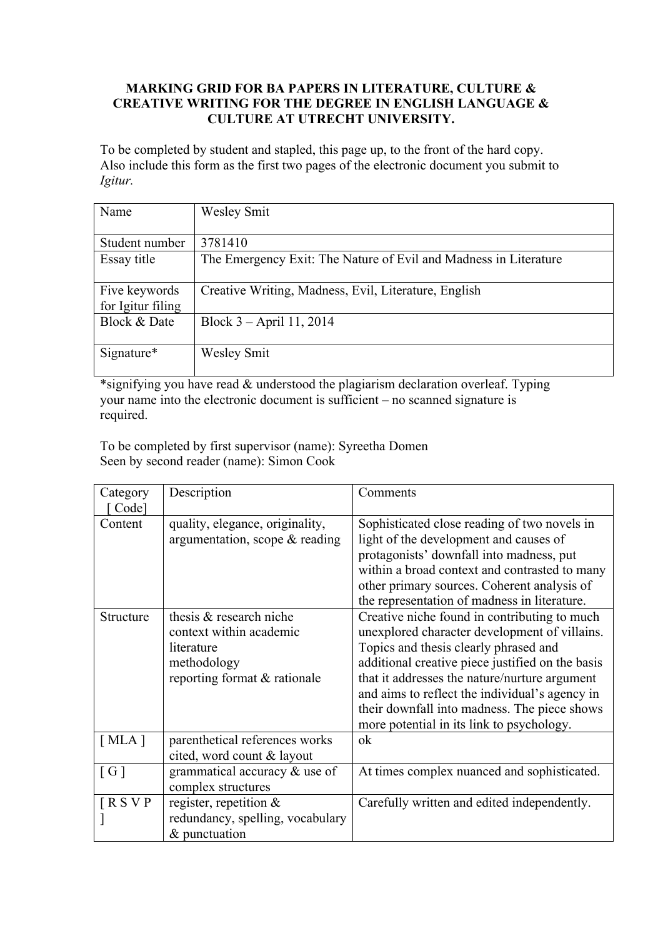#### **MARKING GRID FOR BA PAPERS IN LITERATURE, CULTURE & CREATIVE WRITING FOR THE DEGREE IN ENGLISH LANGUAGE & CULTURE AT UTRECHT UNIVERSITY.**

To be completed by student and stapled, this page up, to the front of the hard copy. Also include this form as the first two pages of the electronic document you submit to *Igitur.*

| Name              | <b>Wesley Smit</b>                                               |
|-------------------|------------------------------------------------------------------|
|                   |                                                                  |
| Student number    | 3781410                                                          |
| Essay title       | The Emergency Exit: The Nature of Evil and Madness in Literature |
|                   |                                                                  |
| Five keywords     | Creative Writing, Madness, Evil, Literature, English             |
| for Igitur filing |                                                                  |
| Block & Date      | Block $3 - April 11, 2014$                                       |
|                   |                                                                  |
| Signature*        | <b>Wesley Smit</b>                                               |
|                   |                                                                  |

\*signifying you have read & understood the plagiarism declaration overleaf. Typing your name into the electronic document is sufficient – no scanned signature is required.

To be completed by first supervisor (name): Syreetha Domen Seen by second reader (name): Simon Cook

| Category          | Description                      | Comments                                         |
|-------------------|----------------------------------|--------------------------------------------------|
| Code]             |                                  |                                                  |
| Content           | quality, elegance, originality,  | Sophisticated close reading of two novels in     |
|                   | argumentation, scope & reading   | light of the development and causes of           |
|                   |                                  | protagonists' downfall into madness, put         |
|                   |                                  | within a broad context and contrasted to many    |
|                   |                                  | other primary sources. Coherent analysis of      |
|                   |                                  | the representation of madness in literature.     |
| Structure         | thesis & research niche          | Creative niche found in contributing to much     |
|                   | context within academic          | unexplored character development of villains.    |
|                   | literature                       | Topics and thesis clearly phrased and            |
|                   | methodology                      | additional creative piece justified on the basis |
|                   | reporting format & rationale     | that it addresses the nature/nurture argument    |
|                   |                                  | and aims to reflect the individual's agency in   |
|                   |                                  | their downfall into madness. The piece shows     |
|                   |                                  | more potential in its link to psychology.        |
| [MLA]             | parenthetical references works   | ok                                               |
|                   | cited, word count & layout       |                                                  |
| $\lceil G \rceil$ | grammatical accuracy & use of    | At times complex nuanced and sophisticated.      |
|                   | complex structures               |                                                  |
| $R$ S V P         | register, repetition $\&$        | Carefully written and edited independently.      |
|                   | redundancy, spelling, vocabulary |                                                  |
|                   | & punctuation                    |                                                  |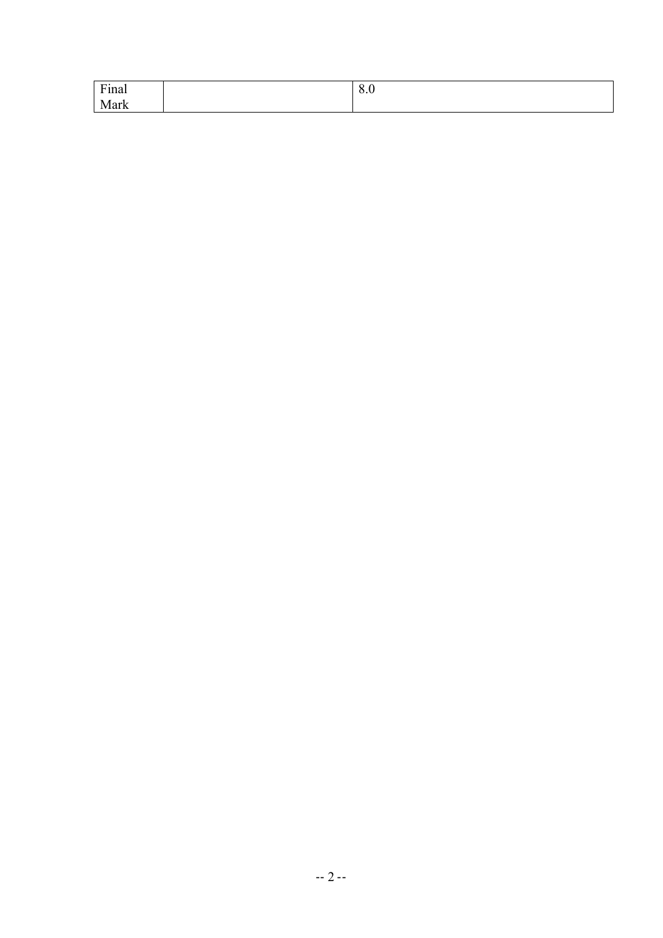| $\Gamma$ ino.<br>$ \mu$ $\mu$       | $\sim$<br>$\mathsf{v}.\mathsf{v}$ |
|-------------------------------------|-----------------------------------|
| -<br>- -<br>Л<br>.<br>l Wa<br>11 IX |                                   |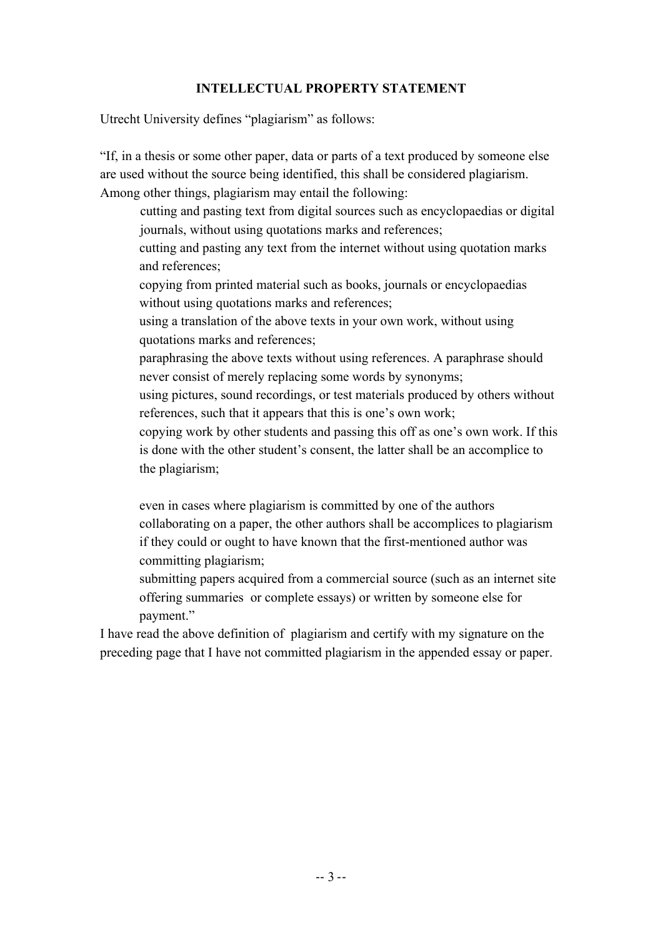#### **INTELLECTUAL PROPERTY STATEMENT**

Utrecht University defines "plagiarism" as follows:

"If, in a thesis or some other paper, data or parts of a text produced by someone else are used without the source being identified, this shall be considered plagiarism. Among other things, plagiarism may entail the following:

cutting and pasting text from digital sources such as encyclopaedias or digital journals, without using quotations marks and references;

cutting and pasting any text from the internet without using quotation marks and references;

copying from printed material such as books, journals or encyclopaedias without using quotations marks and references;

using a translation of the above texts in your own work, without using quotations marks and references;

paraphrasing the above texts without using references. A paraphrase should never consist of merely replacing some words by synonyms;

using pictures, sound recordings, or test materials produced by others without references, such that it appears that this is one's own work;

copying work by other students and passing this off as one's own work. If this is done with the other student's consent, the latter shall be an accomplice to the plagiarism;

even in cases where plagiarism is committed by one of the authors collaborating on a paper, the other authors shall be accomplices to plagiarism if they could or ought to have known that the first-mentioned author was committing plagiarism;

submitting papers acquired from a commercial source (such as an internet site offering summaries or complete essays) or written by someone else for payment."

I have read the above definition of plagiarism and certify with my signature on the preceding page that I have not committed plagiarism in the appended essay or paper.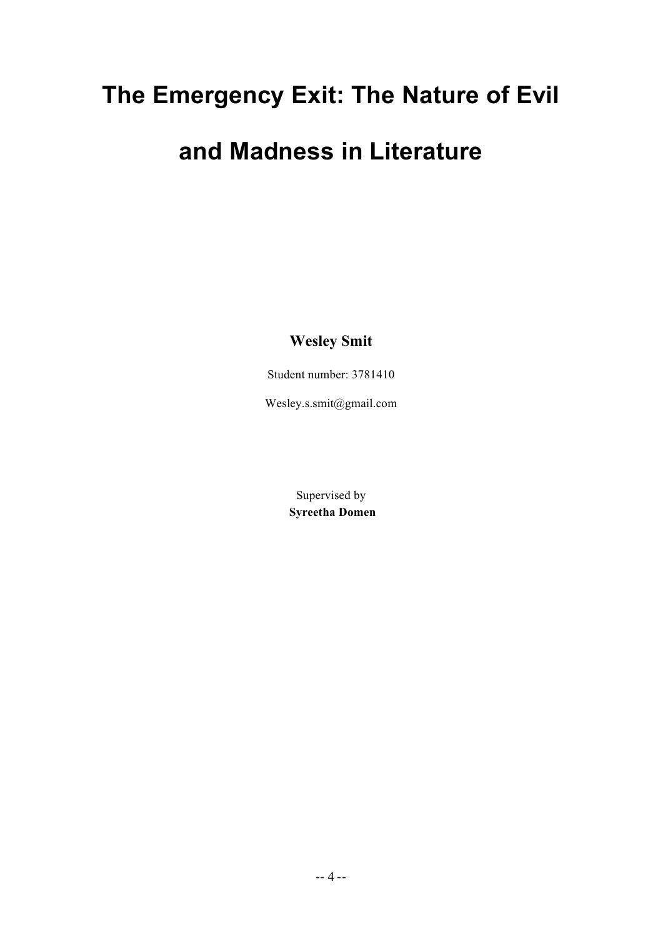## **The Emergency Exit: The Nature of Evil**

### **and Madness in Literature**

**Wesley Smit**

Student number: 3781410

Wesley.s.smit@gmail.com

Supervised by **Syreetha Domen**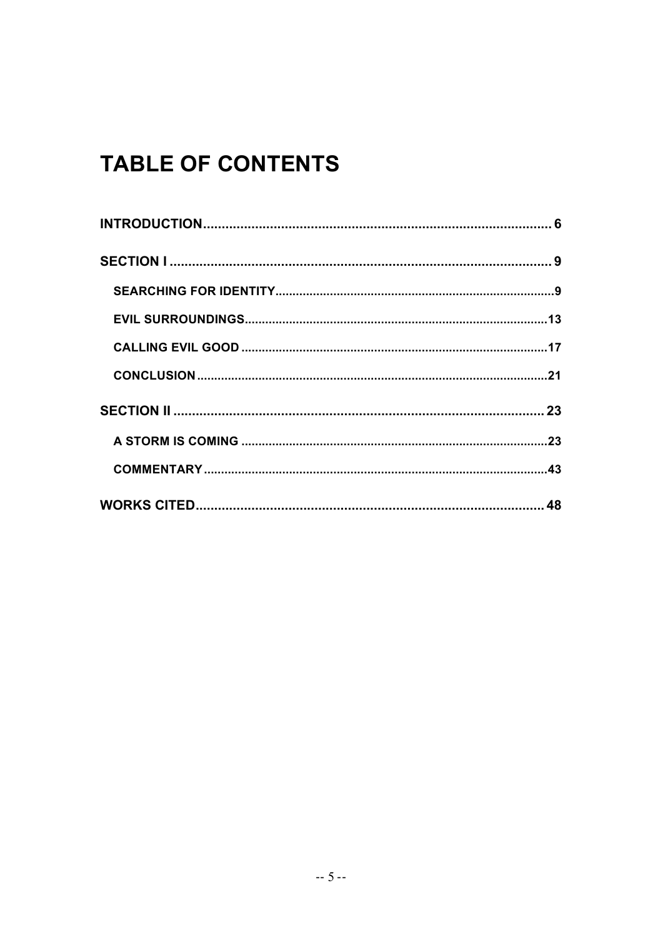### **TABLE OF CONTENTS**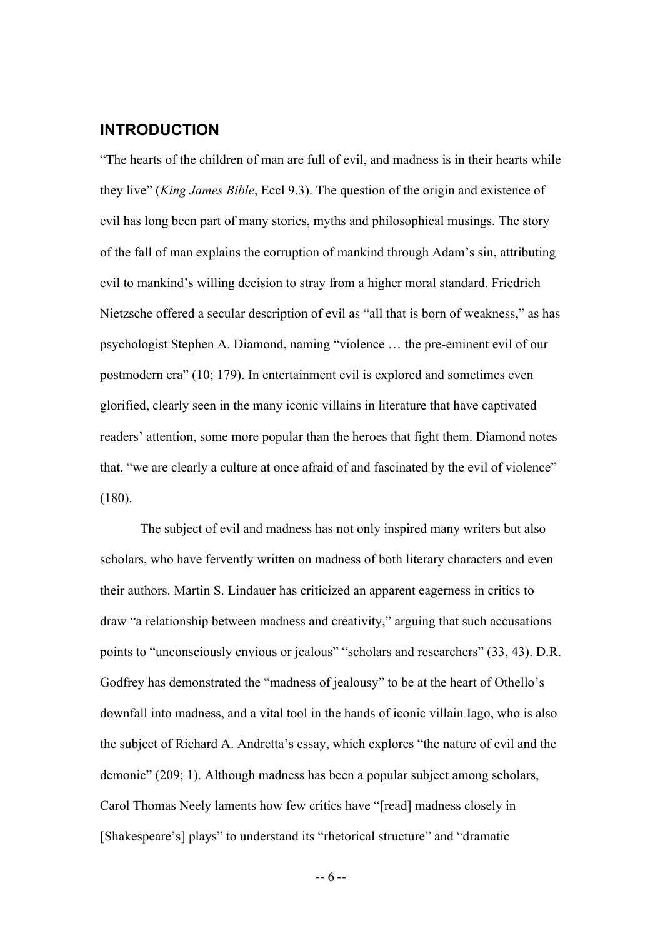#### **INTRODUCTION**

"The hearts of the children of man are full of evil, and madness is in their hearts while they live" (*King James Bible*, Eccl 9.3). The question of the origin and existence of evil has long been part of many stories, myths and philosophical musings. The story of the fall of man explains the corruption of mankind through Adam's sin, attributing evil to mankind's willing decision to stray from a higher moral standard. Friedrich Nietzsche offered a secular description of evil as "all that is born of weakness," as has psychologist Stephen A. Diamond, naming "violence … the pre-eminent evil of our postmodern era" (10; 179). In entertainment evil is explored and sometimes even glorified, clearly seen in the many iconic villains in literature that have captivated readers' attention, some more popular than the heroes that fight them. Diamond notes that, "we are clearly a culture at once afraid of and fascinated by the evil of violence" (180).

The subject of evil and madness has not only inspired many writers but also scholars, who have fervently written on madness of both literary characters and even their authors. Martin S. Lindauer has criticized an apparent eagerness in critics to draw "a relationship between madness and creativity," arguing that such accusations points to "unconsciously envious or jealous" "scholars and researchers" (33, 43). D.R. Godfrey has demonstrated the "madness of jealousy" to be at the heart of Othello's downfall into madness, and a vital tool in the hands of iconic villain Iago, who is also the subject of Richard A. Andretta's essay, which explores "the nature of evil and the demonic" (209; 1). Although madness has been a popular subject among scholars, Carol Thomas Neely laments how few critics have "[read] madness closely in [Shakespeare's] plays" to understand its "rhetorical structure" and "dramatic

-- 6 --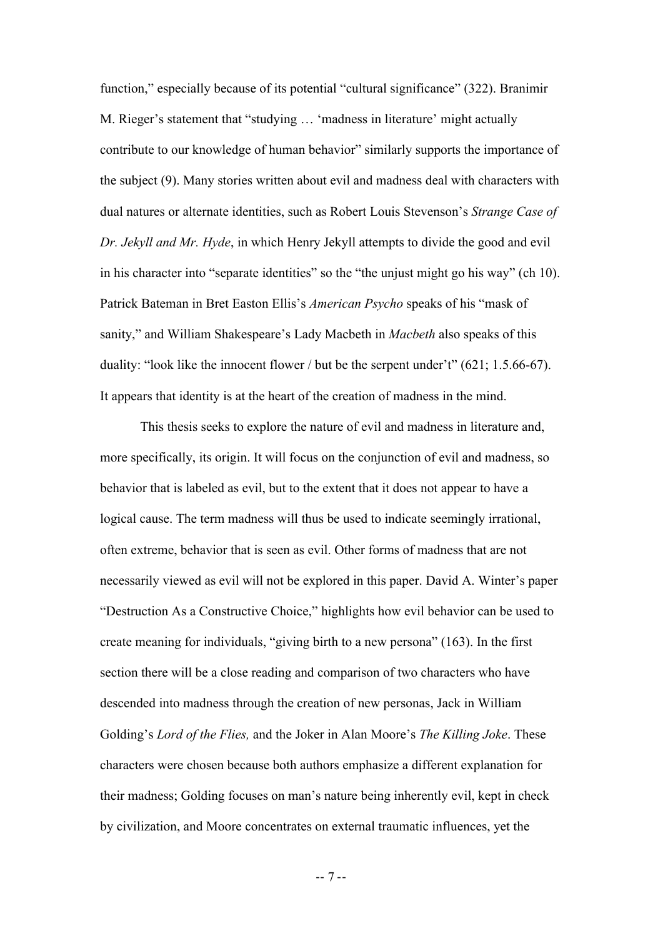function," especially because of its potential "cultural significance" (322). Branimir M. Rieger's statement that "studying … 'madness in literature' might actually contribute to our knowledge of human behavior" similarly supports the importance of the subject (9). Many stories written about evil and madness deal with characters with dual natures or alternate identities, such as Robert Louis Stevenson's *Strange Case of Dr. Jekyll and Mr. Hyde*, in which Henry Jekyll attempts to divide the good and evil in his character into "separate identities" so the "the unjust might go his way" (ch 10). Patrick Bateman in Bret Easton Ellis's *American Psycho* speaks of his "mask of sanity," and William Shakespeare's Lady Macbeth in *Macbeth* also speaks of this duality: "look like the innocent flower / but be the serpent under't" (621; 1.5.66-67). It appears that identity is at the heart of the creation of madness in the mind.

This thesis seeks to explore the nature of evil and madness in literature and, more specifically, its origin. It will focus on the conjunction of evil and madness, so behavior that is labeled as evil, but to the extent that it does not appear to have a logical cause. The term madness will thus be used to indicate seemingly irrational, often extreme, behavior that is seen as evil. Other forms of madness that are not necessarily viewed as evil will not be explored in this paper. David A. Winter's paper "Destruction As a Constructive Choice," highlights how evil behavior can be used to create meaning for individuals, "giving birth to a new persona" (163). In the first section there will be a close reading and comparison of two characters who have descended into madness through the creation of new personas, Jack in William Golding's *Lord of the Flies,* and the Joker in Alan Moore's *The Killing Joke*. These characters were chosen because both authors emphasize a different explanation for their madness; Golding focuses on man's nature being inherently evil, kept in check by civilization, and Moore concentrates on external traumatic influences, yet the

-- 7 --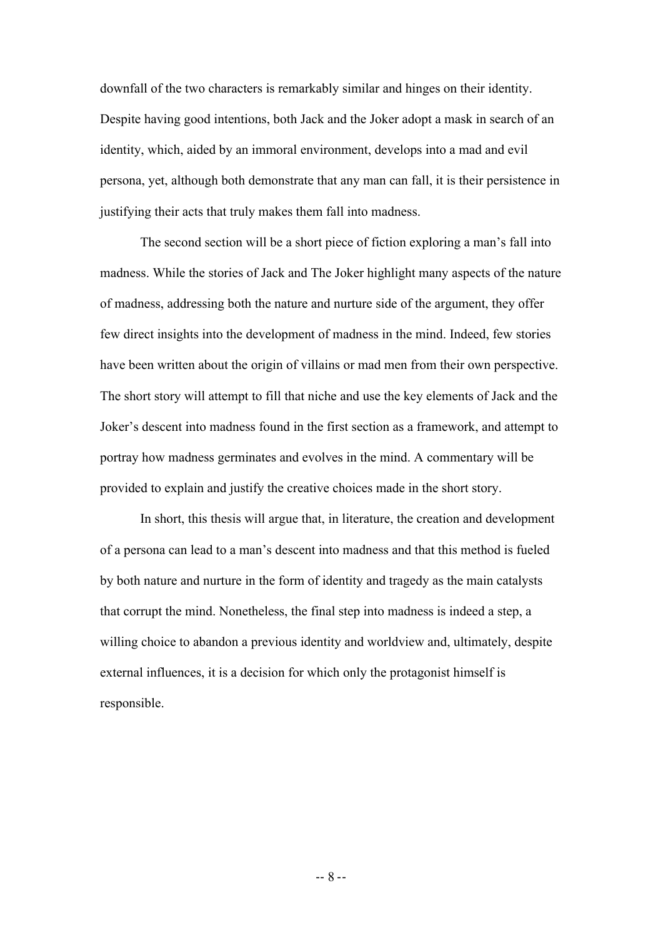downfall of the two characters is remarkably similar and hinges on their identity. Despite having good intentions, both Jack and the Joker adopt a mask in search of an identity, which, aided by an immoral environment, develops into a mad and evil persona, yet, although both demonstrate that any man can fall, it is their persistence in justifying their acts that truly makes them fall into madness.

The second section will be a short piece of fiction exploring a man's fall into madness. While the stories of Jack and The Joker highlight many aspects of the nature of madness, addressing both the nature and nurture side of the argument, they offer few direct insights into the development of madness in the mind. Indeed, few stories have been written about the origin of villains or mad men from their own perspective. The short story will attempt to fill that niche and use the key elements of Jack and the Joker's descent into madness found in the first section as a framework, and attempt to portray how madness germinates and evolves in the mind. A commentary will be provided to explain and justify the creative choices made in the short story.

In short, this thesis will argue that, in literature, the creation and development of a persona can lead to a man's descent into madness and that this method is fueled by both nature and nurture in the form of identity and tragedy as the main catalysts that corrupt the mind. Nonetheless, the final step into madness is indeed a step, a willing choice to abandon a previous identity and worldview and, ultimately, despite external influences, it is a decision for which only the protagonist himself is responsible.

-- 8 --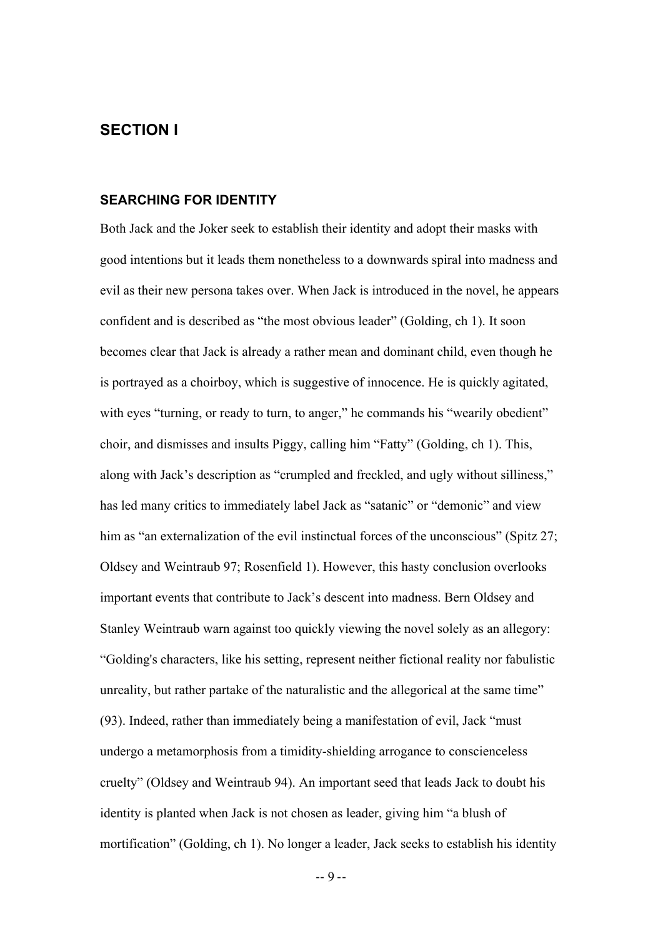#### **SECTION I**

#### **SEARCHING FOR IDENTITY**

Both Jack and the Joker seek to establish their identity and adopt their masks with good intentions but it leads them nonetheless to a downwards spiral into madness and evil as their new persona takes over. When Jack is introduced in the novel, he appears confident and is described as "the most obvious leader" (Golding, ch 1). It soon becomes clear that Jack is already a rather mean and dominant child, even though he is portrayed as a choirboy, which is suggestive of innocence. He is quickly agitated, with eyes "turning, or ready to turn, to anger," he commands his "wearily obedient" choir, and dismisses and insults Piggy, calling him "Fatty" (Golding, ch 1). This, along with Jack's description as "crumpled and freckled, and ugly without silliness," has led many critics to immediately label Jack as "satanic" or "demonic" and view him as "an externalization of the evil instinctual forces of the unconscious" (Spitz 27; Oldsey and Weintraub 97; Rosenfield 1). However, this hasty conclusion overlooks important events that contribute to Jack's descent into madness. Bern Oldsey and Stanley Weintraub warn against too quickly viewing the novel solely as an allegory: "Golding's characters, like his setting, represent neither fictional reality nor fabulistic unreality, but rather partake of the naturalistic and the allegorical at the same time" (93). Indeed, rather than immediately being a manifestation of evil, Jack "must undergo a metamorphosis from a timidity-shielding arrogance to conscienceless cruelty" (Oldsey and Weintraub 94). An important seed that leads Jack to doubt his identity is planted when Jack is not chosen as leader, giving him "a blush of mortification" (Golding, ch 1). No longer a leader, Jack seeks to establish his identity

-- 9 --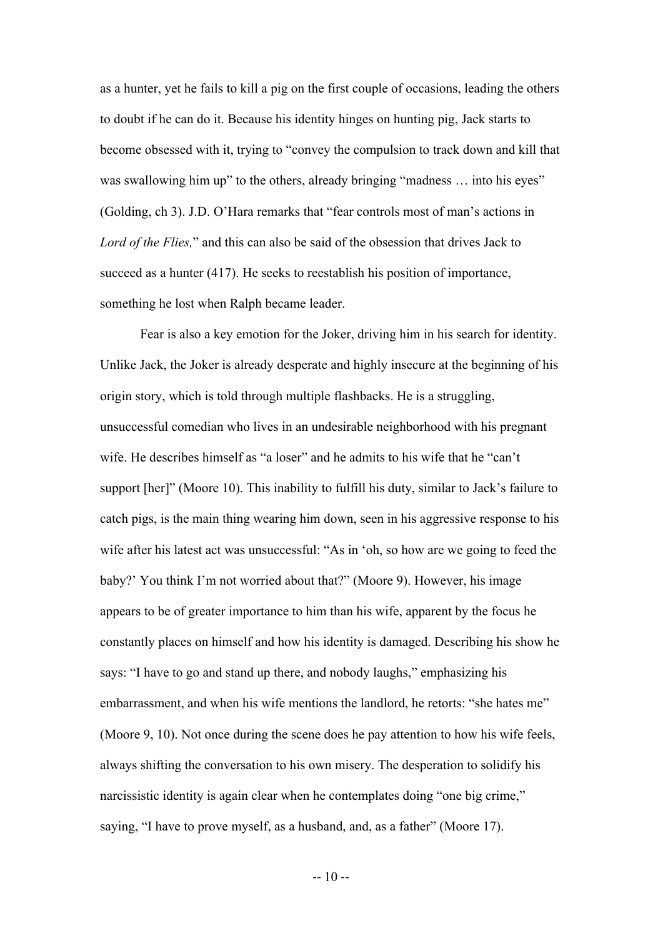as a hunter, yet he fails to kill a pig on the first couple of occasions, leading the others to doubt if he can do it. Because his identity hinges on hunting pig, Jack starts to become obsessed with it, trying to "convey the compulsion to track down and kill that was swallowing him up" to the others, already bringing "madness ... into his eyes" (Golding, ch 3). J.D. O'Hara remarks that "fear controls most of man's actions in *Lord of the Flies,*" and this can also be said of the obsession that drives Jack to succeed as a hunter (417). He seeks to reestablish his position of importance, something he lost when Ralph became leader.

Fear is also a key emotion for the Joker, driving him in his search for identity. Unlike Jack, the Joker is already desperate and highly insecure at the beginning of his origin story, which is told through multiple flashbacks. He is a struggling, unsuccessful comedian who lives in an undesirable neighborhood with his pregnant wife. He describes himself as "a loser" and he admits to his wife that he "can't support [her]" (Moore 10). This inability to fulfill his duty, similar to Jack's failure to catch pigs, is the main thing wearing him down, seen in his aggressive response to his wife after his latest act was unsuccessful: "As in 'oh, so how are we going to feed the baby?' You think I'm not worried about that?" (Moore 9). However, his image appears to be of greater importance to him than his wife, apparent by the focus he constantly places on himself and how his identity is damaged. Describing his show he says: "I have to go and stand up there, and nobody laughs," emphasizing his embarrassment, and when his wife mentions the landlord, he retorts: "she hates me" (Moore 9, 10). Not once during the scene does he pay attention to how his wife feels, always shifting the conversation to his own misery. The desperation to solidify his narcissistic identity is again clear when he contemplates doing "one big crime," saying, "I have to prove myself, as a husband, and, as a father" (Moore 17).

 $-10-$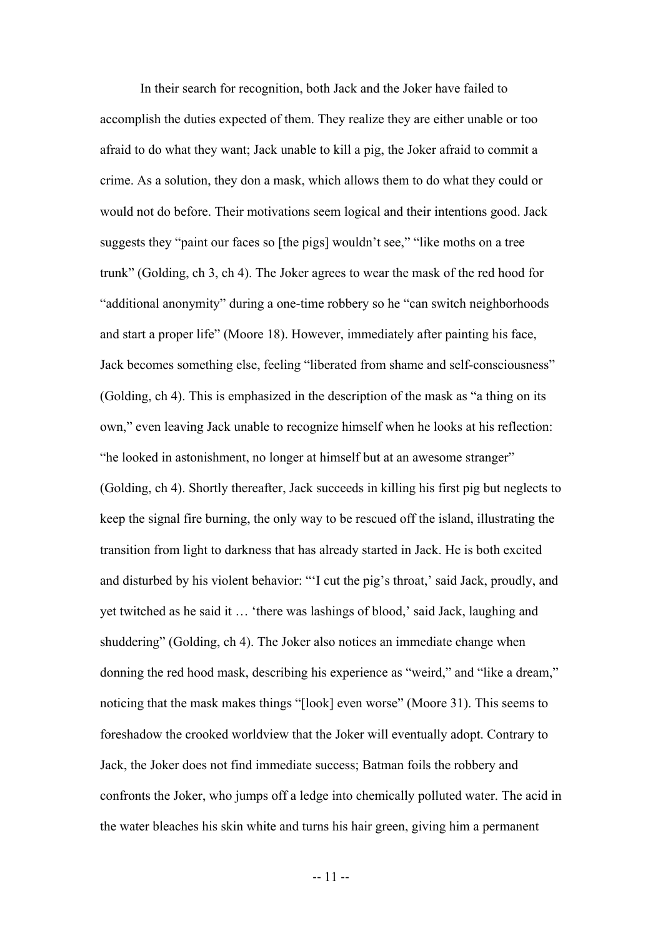In their search for recognition, both Jack and the Joker have failed to accomplish the duties expected of them. They realize they are either unable or too afraid to do what they want; Jack unable to kill a pig, the Joker afraid to commit a crime. As a solution, they don a mask, which allows them to do what they could or would not do before. Their motivations seem logical and their intentions good. Jack suggests they "paint our faces so [the pigs] wouldn't see," "like moths on a tree trunk" (Golding, ch 3, ch 4). The Joker agrees to wear the mask of the red hood for "additional anonymity" during a one-time robbery so he "can switch neighborhoods and start a proper life" (Moore 18). However, immediately after painting his face, Jack becomes something else, feeling "liberated from shame and self-consciousness" (Golding, ch 4). This is emphasized in the description of the mask as "a thing on its own," even leaving Jack unable to recognize himself when he looks at his reflection: "he looked in astonishment, no longer at himself but at an awesome stranger" (Golding, ch 4). Shortly thereafter, Jack succeeds in killing his first pig but neglects to keep the signal fire burning, the only way to be rescued off the island, illustrating the transition from light to darkness that has already started in Jack. He is both excited and disturbed by his violent behavior: "'I cut the pig's throat,' said Jack, proudly, and yet twitched as he said it … 'there was lashings of blood,' said Jack, laughing and shuddering" (Golding, ch 4). The Joker also notices an immediate change when donning the red hood mask, describing his experience as "weird," and "like a dream," noticing that the mask makes things "[look] even worse" (Moore 31). This seems to foreshadow the crooked worldview that the Joker will eventually adopt. Contrary to Jack, the Joker does not find immediate success; Batman foils the robbery and confronts the Joker, who jumps off a ledge into chemically polluted water. The acid in the water bleaches his skin white and turns his hair green, giving him a permanent

-- 11 --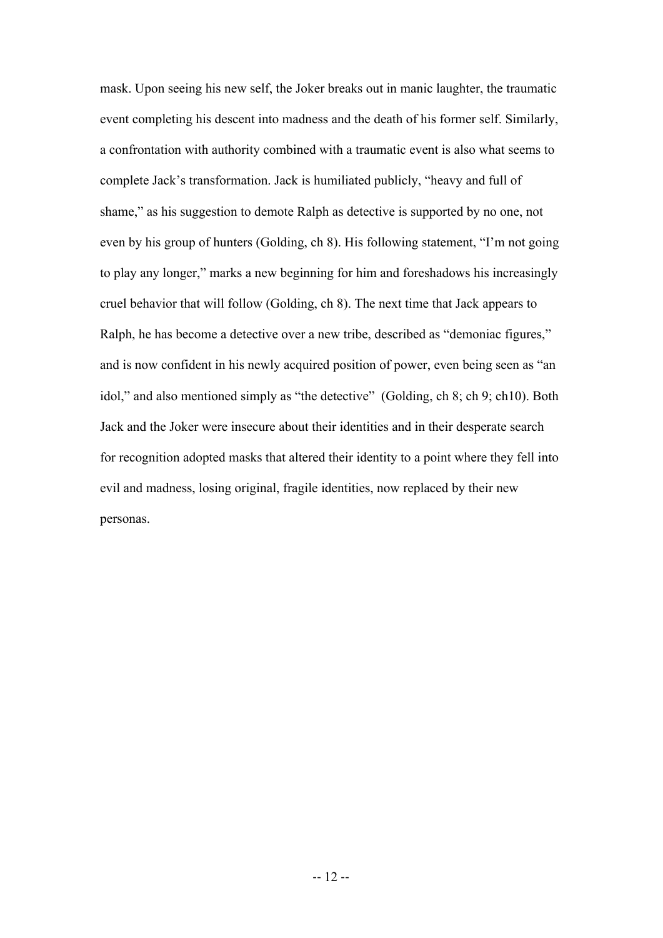mask. Upon seeing his new self, the Joker breaks out in manic laughter, the traumatic event completing his descent into madness and the death of his former self. Similarly, a confrontation with authority combined with a traumatic event is also what seems to complete Jack's transformation. Jack is humiliated publicly, "heavy and full of shame," as his suggestion to demote Ralph as detective is supported by no one, not even by his group of hunters (Golding, ch 8). His following statement, "I'm not going to play any longer," marks a new beginning for him and foreshadows his increasingly cruel behavior that will follow (Golding, ch 8). The next time that Jack appears to Ralph, he has become a detective over a new tribe, described as "demoniac figures," and is now confident in his newly acquired position of power, even being seen as "an idol," and also mentioned simply as "the detective" (Golding, ch 8; ch 9; ch10). Both Jack and the Joker were insecure about their identities and in their desperate search for recognition adopted masks that altered their identity to a point where they fell into evil and madness, losing original, fragile identities, now replaced by their new personas.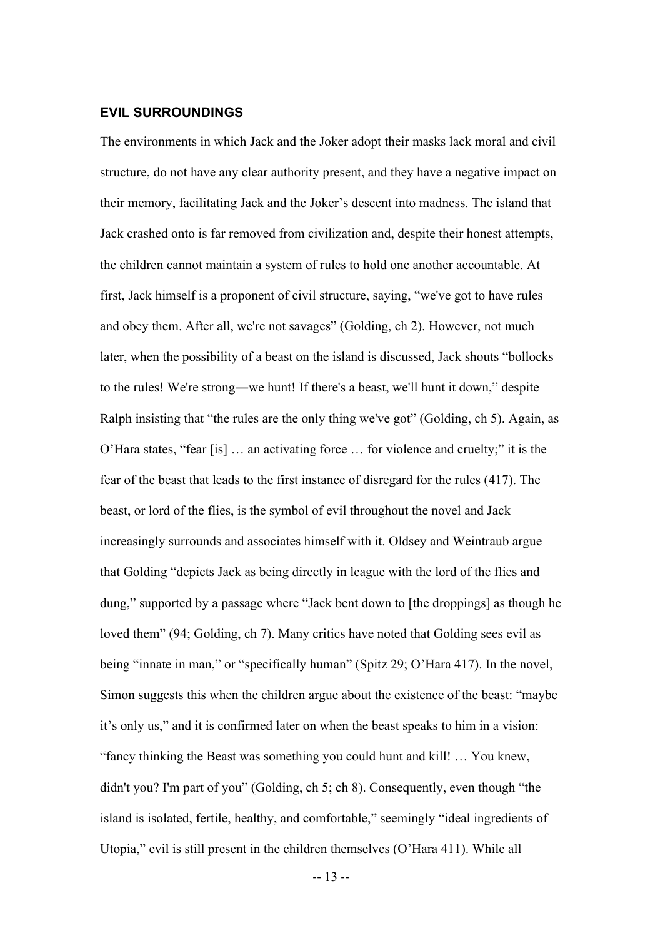#### **EVIL SURROUNDINGS**

The environments in which Jack and the Joker adopt their masks lack moral and civil structure, do not have any clear authority present, and they have a negative impact on their memory, facilitating Jack and the Joker's descent into madness. The island that Jack crashed onto is far removed from civilization and, despite their honest attempts, the children cannot maintain a system of rules to hold one another accountable. At first, Jack himself is a proponent of civil structure, saying, "we've got to have rules and obey them. After all, we're not savages" (Golding, ch 2). However, not much later, when the possibility of a beast on the island is discussed, Jack shouts "bollocks to the rules! We're strong―we hunt! If there's a beast, we'll hunt it down," despite Ralph insisting that "the rules are the only thing we've got" (Golding, ch 5). Again, as O'Hara states, "fear [is] … an activating force … for violence and cruelty;" it is the fear of the beast that leads to the first instance of disregard for the rules (417). The beast, or lord of the flies, is the symbol of evil throughout the novel and Jack increasingly surrounds and associates himself with it. Oldsey and Weintraub argue that Golding "depicts Jack as being directly in league with the lord of the flies and dung," supported by a passage where "Jack bent down to [the droppings] as though he loved them" (94; Golding, ch 7). Many critics have noted that Golding sees evil as being "innate in man," or "specifically human" (Spitz 29; O'Hara 417). In the novel, Simon suggests this when the children argue about the existence of the beast: "maybe it's only us," and it is confirmed later on when the beast speaks to him in a vision: "fancy thinking the Beast was something you could hunt and kill! … You knew, didn't you? I'm part of you" (Golding, ch 5; ch 8). Consequently, even though "the island is isolated, fertile, healthy, and comfortable," seemingly "ideal ingredients of Utopia," evil is still present in the children themselves (O'Hara 411). While all

-- 13 --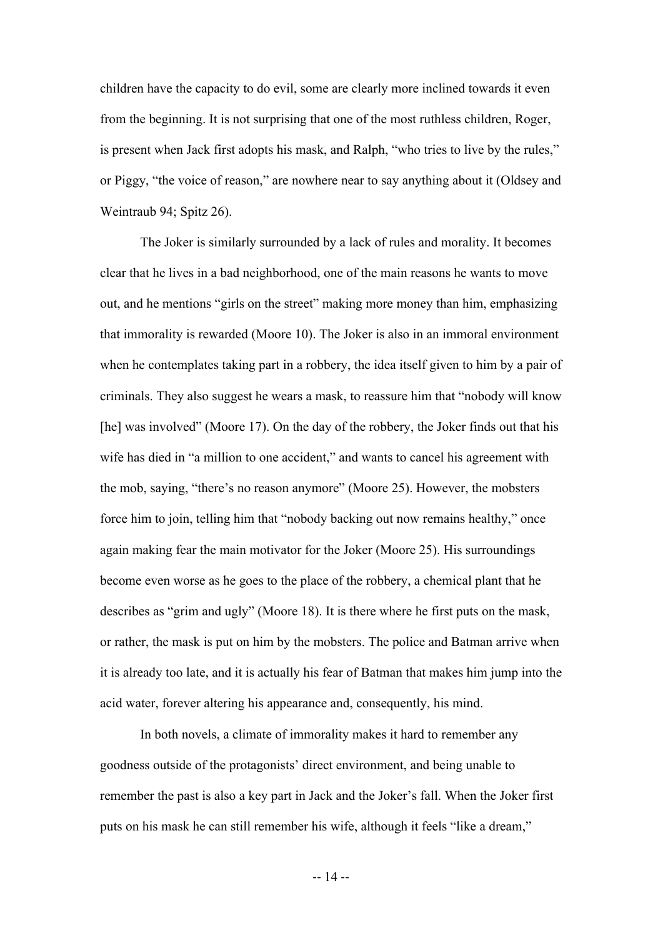children have the capacity to do evil, some are clearly more inclined towards it even from the beginning. It is not surprising that one of the most ruthless children, Roger, is present when Jack first adopts his mask, and Ralph, "who tries to live by the rules," or Piggy, "the voice of reason," are nowhere near to say anything about it (Oldsey and Weintraub 94; Spitz 26).

The Joker is similarly surrounded by a lack of rules and morality. It becomes clear that he lives in a bad neighborhood, one of the main reasons he wants to move out, and he mentions "girls on the street" making more money than him, emphasizing that immorality is rewarded (Moore 10). The Joker is also in an immoral environment when he contemplates taking part in a robbery, the idea itself given to him by a pair of criminals. They also suggest he wears a mask, to reassure him that "nobody will know [he] was involved" (Moore 17). On the day of the robbery, the Joker finds out that his wife has died in "a million to one accident," and wants to cancel his agreement with the mob, saying, "there's no reason anymore" (Moore 25). However, the mobsters force him to join, telling him that "nobody backing out now remains healthy," once again making fear the main motivator for the Joker (Moore 25). His surroundings become even worse as he goes to the place of the robbery, a chemical plant that he describes as "grim and ugly" (Moore 18). It is there where he first puts on the mask, or rather, the mask is put on him by the mobsters. The police and Batman arrive when it is already too late, and it is actually his fear of Batman that makes him jump into the acid water, forever altering his appearance and, consequently, his mind.

In both novels, a climate of immorality makes it hard to remember any goodness outside of the protagonists' direct environment, and being unable to remember the past is also a key part in Jack and the Joker's fall. When the Joker first puts on his mask he can still remember his wife, although it feels "like a dream,"

-- 14 --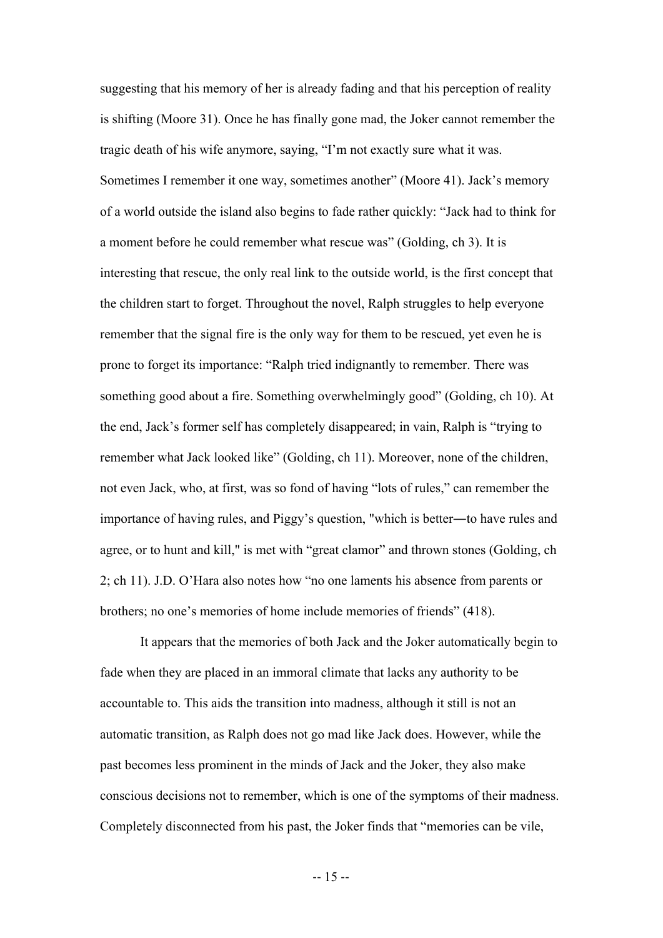suggesting that his memory of her is already fading and that his perception of reality is shifting (Moore 31). Once he has finally gone mad, the Joker cannot remember the tragic death of his wife anymore, saying, "I'm not exactly sure what it was. Sometimes I remember it one way, sometimes another" (Moore 41). Jack's memory of a world outside the island also begins to fade rather quickly: "Jack had to think for a moment before he could remember what rescue was" (Golding, ch 3). It is interesting that rescue, the only real link to the outside world, is the first concept that the children start to forget. Throughout the novel, Ralph struggles to help everyone remember that the signal fire is the only way for them to be rescued, yet even he is prone to forget its importance: "Ralph tried indignantly to remember. There was something good about a fire. Something overwhelmingly good" (Golding, ch 10). At the end, Jack's former self has completely disappeared; in vain, Ralph is "trying to remember what Jack looked like" (Golding, ch 11). Moreover, none of the children, not even Jack, who, at first, was so fond of having "lots of rules," can remember the importance of having rules, and Piggy's question, "which is better―to have rules and agree, or to hunt and kill," is met with "great clamor" and thrown stones (Golding, ch 2; ch 11). J.D. O'Hara also notes how "no one laments his absence from parents or brothers; no one's memories of home include memories of friends" (418).

It appears that the memories of both Jack and the Joker automatically begin to fade when they are placed in an immoral climate that lacks any authority to be accountable to. This aids the transition into madness, although it still is not an automatic transition, as Ralph does not go mad like Jack does. However, while the past becomes less prominent in the minds of Jack and the Joker, they also make conscious decisions not to remember, which is one of the symptoms of their madness. Completely disconnected from his past, the Joker finds that "memories can be vile,

-- 15 --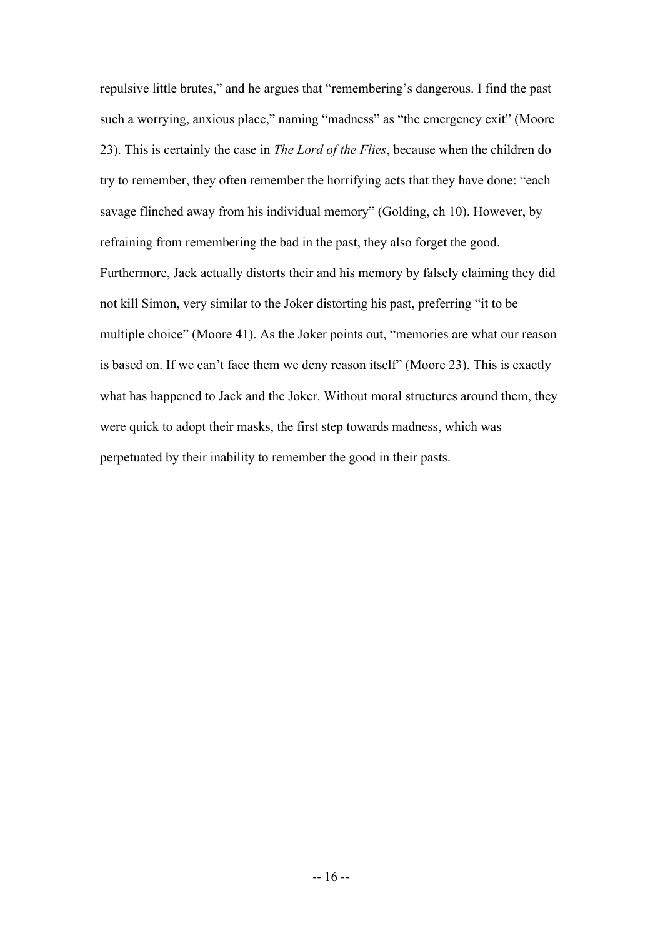repulsive little brutes," and he argues that "remembering's dangerous. I find the past such a worrying, anxious place," naming "madness" as "the emergency exit" (Moore 23). This is certainly the case in *The Lord of the Flies*, because when the children do try to remember, they often remember the horrifying acts that they have done: "each savage flinched away from his individual memory" (Golding, ch 10). However, by refraining from remembering the bad in the past, they also forget the good. Furthermore, Jack actually distorts their and his memory by falsely claiming they did not kill Simon, very similar to the Joker distorting his past, preferring "it to be multiple choice" (Moore 41). As the Joker points out, "memories are what our reason is based on. If we can't face them we deny reason itself" (Moore 23). This is exactly what has happened to Jack and the Joker. Without moral structures around them, they were quick to adopt their masks, the first step towards madness, which was perpetuated by their inability to remember the good in their pasts.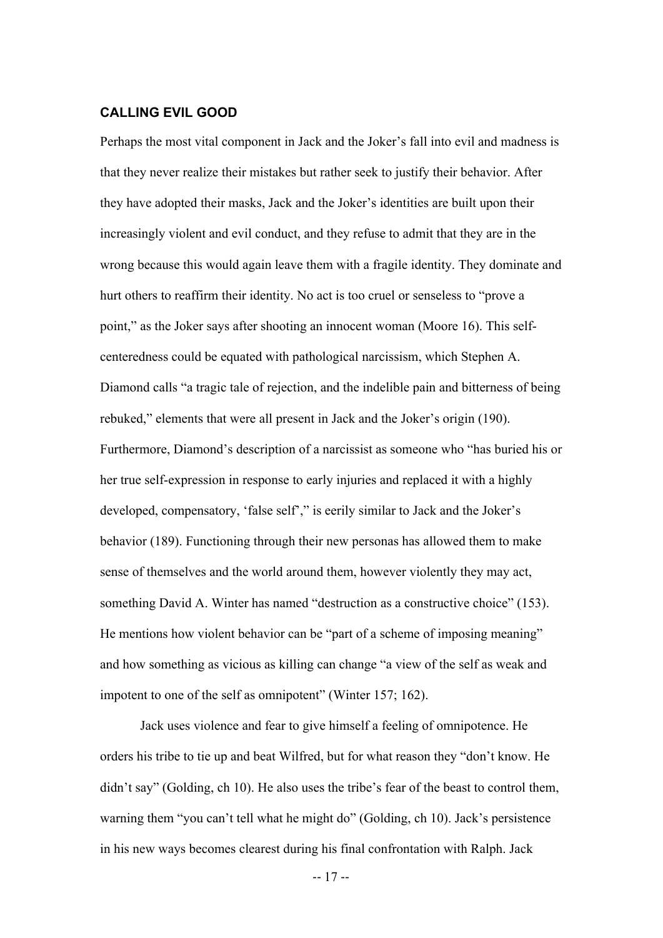#### **CALLING EVIL GOOD**

Perhaps the most vital component in Jack and the Joker's fall into evil and madness is that they never realize their mistakes but rather seek to justify their behavior. After they have adopted their masks, Jack and the Joker's identities are built upon their increasingly violent and evil conduct, and they refuse to admit that they are in the wrong because this would again leave them with a fragile identity. They dominate and hurt others to reaffirm their identity. No act is too cruel or senseless to "prove a point," as the Joker says after shooting an innocent woman (Moore 16). This selfcenteredness could be equated with pathological narcissism, which Stephen A. Diamond calls "a tragic tale of rejection, and the indelible pain and bitterness of being rebuked," elements that were all present in Jack and the Joker's origin (190). Furthermore, Diamond's description of a narcissist as someone who "has buried his or her true self-expression in response to early injuries and replaced it with a highly developed, compensatory, 'false self'," is eerily similar to Jack and the Joker's behavior (189). Functioning through their new personas has allowed them to make sense of themselves and the world around them, however violently they may act, something David A. Winter has named "destruction as a constructive choice" (153). He mentions how violent behavior can be "part of a scheme of imposing meaning" and how something as vicious as killing can change "a view of the self as weak and impotent to one of the self as omnipotent" (Winter 157; 162).

Jack uses violence and fear to give himself a feeling of omnipotence. He orders his tribe to tie up and beat Wilfred, but for what reason they "don't know. He didn't say" (Golding, ch 10). He also uses the tribe's fear of the beast to control them, warning them "you can't tell what he might do" (Golding, ch 10). Jack's persistence in his new ways becomes clearest during his final confrontation with Ralph. Jack

-- 17 --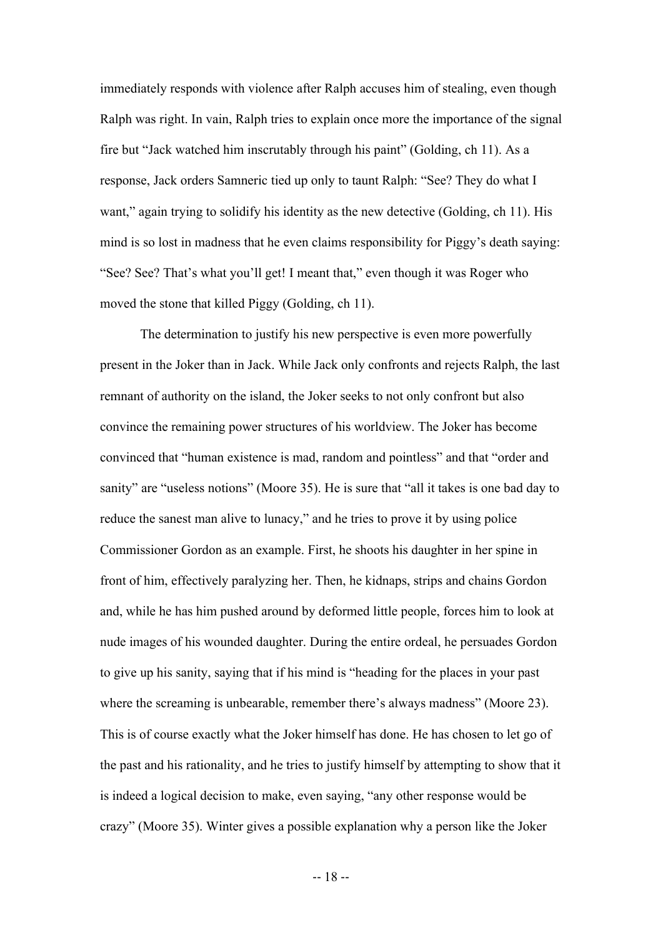immediately responds with violence after Ralph accuses him of stealing, even though Ralph was right. In vain, Ralph tries to explain once more the importance of the signal fire but "Jack watched him inscrutably through his paint" (Golding, ch 11). As a response, Jack orders Samneric tied up only to taunt Ralph: "See? They do what I want," again trying to solidify his identity as the new detective (Golding, ch 11). His mind is so lost in madness that he even claims responsibility for Piggy's death saying: "See? See? That's what you'll get! I meant that," even though it was Roger who moved the stone that killed Piggy (Golding, ch 11).

The determination to justify his new perspective is even more powerfully present in the Joker than in Jack. While Jack only confronts and rejects Ralph, the last remnant of authority on the island, the Joker seeks to not only confront but also convince the remaining power structures of his worldview. The Joker has become convinced that "human existence is mad, random and pointless" and that "order and sanity" are "useless notions" (Moore 35). He is sure that "all it takes is one bad day to reduce the sanest man alive to lunacy," and he tries to prove it by using police Commissioner Gordon as an example. First, he shoots his daughter in her spine in front of him, effectively paralyzing her. Then, he kidnaps, strips and chains Gordon and, while he has him pushed around by deformed little people, forces him to look at nude images of his wounded daughter. During the entire ordeal, he persuades Gordon to give up his sanity, saying that if his mind is "heading for the places in your past where the screaming is unbearable, remember there's always madness" (Moore 23). This is of course exactly what the Joker himself has done. He has chosen to let go of the past and his rationality, and he tries to justify himself by attempting to show that it is indeed a logical decision to make, even saying, "any other response would be crazy" (Moore 35). Winter gives a possible explanation why a person like the Joker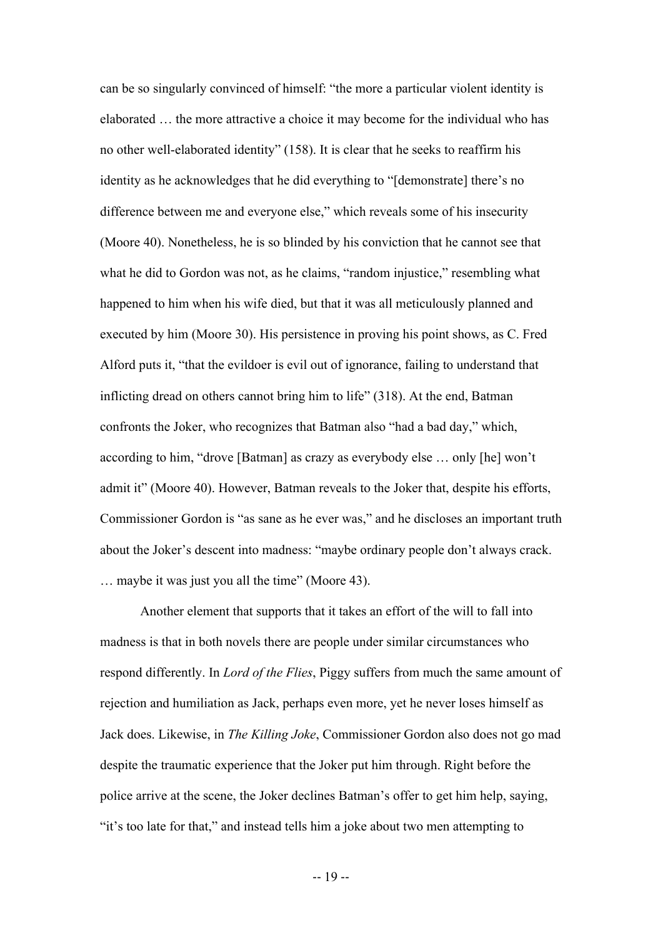can be so singularly convinced of himself: "the more a particular violent identity is elaborated … the more attractive a choice it may become for the individual who has no other well-elaborated identity" (158). It is clear that he seeks to reaffirm his identity as he acknowledges that he did everything to "[demonstrate] there's no difference between me and everyone else," which reveals some of his insecurity (Moore 40). Nonetheless, he is so blinded by his conviction that he cannot see that what he did to Gordon was not, as he claims, "random injustice," resembling what happened to him when his wife died, but that it was all meticulously planned and executed by him (Moore 30). His persistence in proving his point shows, as C. Fred Alford puts it, "that the evildoer is evil out of ignorance, failing to understand that inflicting dread on others cannot bring him to life" (318). At the end, Batman confronts the Joker, who recognizes that Batman also "had a bad day," which, according to him, "drove [Batman] as crazy as everybody else … only [he] won't admit it" (Moore 40). However, Batman reveals to the Joker that, despite his efforts, Commissioner Gordon is "as sane as he ever was," and he discloses an important truth about the Joker's descent into madness: "maybe ordinary people don't always crack. … maybe it was just you all the time" (Moore 43).

Another element that supports that it takes an effort of the will to fall into madness is that in both novels there are people under similar circumstances who respond differently. In *Lord of the Flies*, Piggy suffers from much the same amount of rejection and humiliation as Jack, perhaps even more, yet he never loses himself as Jack does. Likewise, in *The Killing Joke*, Commissioner Gordon also does not go mad despite the traumatic experience that the Joker put him through. Right before the police arrive at the scene, the Joker declines Batman's offer to get him help, saying, "it's too late for that," and instead tells him a joke about two men attempting to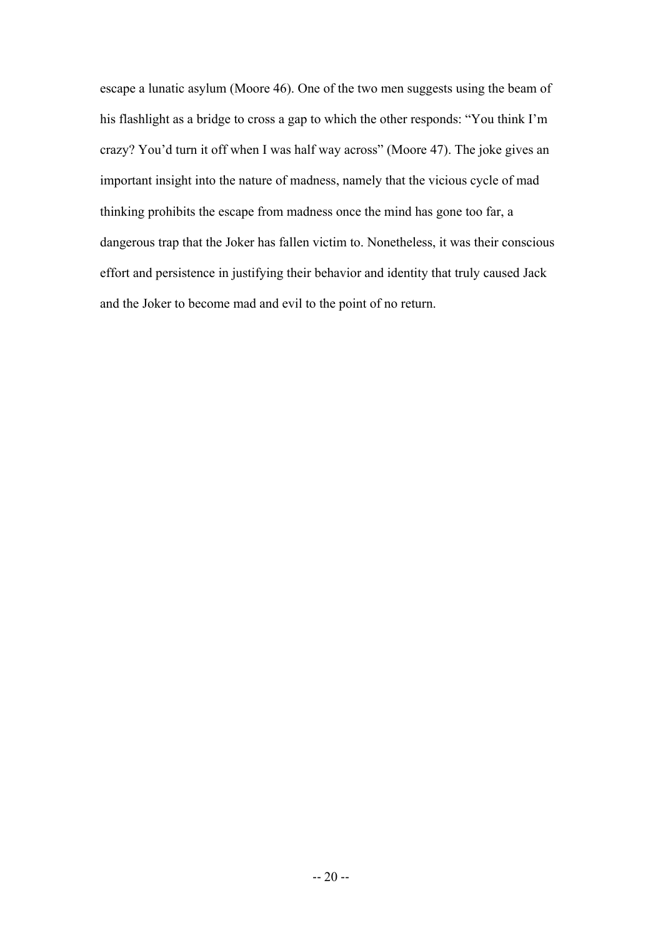escape a lunatic asylum (Moore 46). One of the two men suggests using the beam of his flashlight as a bridge to cross a gap to which the other responds: "You think I'm crazy? You'd turn it off when I was half way across" (Moore 47). The joke gives an important insight into the nature of madness, namely that the vicious cycle of mad thinking prohibits the escape from madness once the mind has gone too far, a dangerous trap that the Joker has fallen victim to. Nonetheless, it was their conscious effort and persistence in justifying their behavior and identity that truly caused Jack and the Joker to become mad and evil to the point of no return.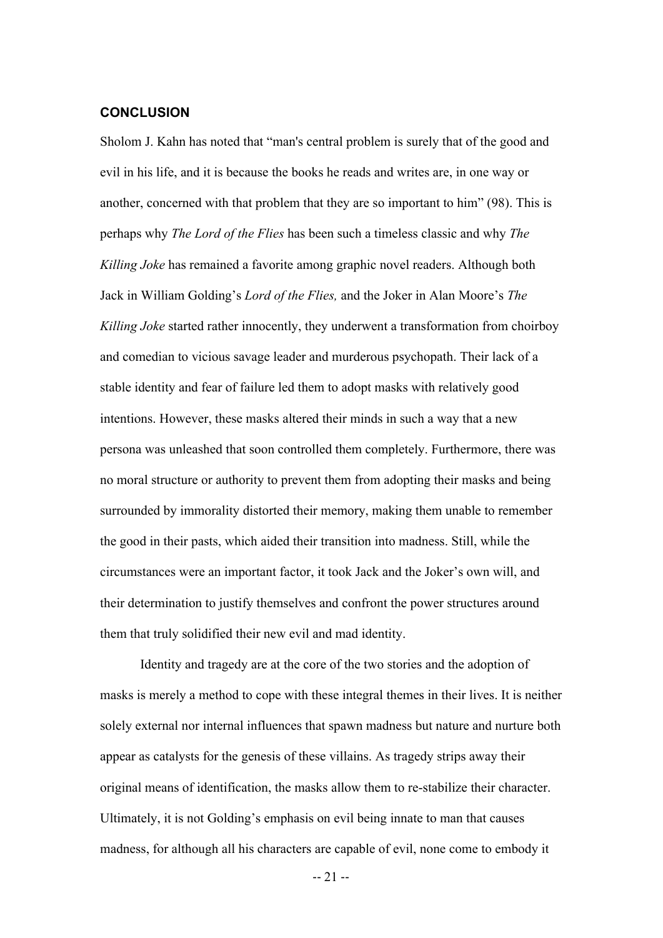#### **CONCLUSION**

Sholom J. Kahn has noted that "man's central problem is surely that of the good and evil in his life, and it is because the books he reads and writes are, in one way or another, concerned with that problem that they are so important to him" (98). This is perhaps why *The Lord of the Flies* has been such a timeless classic and why *The Killing Joke* has remained a favorite among graphic novel readers. Although both Jack in William Golding's *Lord of the Flies,* and the Joker in Alan Moore's *The Killing Joke* started rather innocently, they underwent a transformation from choirboy and comedian to vicious savage leader and murderous psychopath. Their lack of a stable identity and fear of failure led them to adopt masks with relatively good intentions. However, these masks altered their minds in such a way that a new persona was unleashed that soon controlled them completely. Furthermore, there was no moral structure or authority to prevent them from adopting their masks and being surrounded by immorality distorted their memory, making them unable to remember the good in their pasts, which aided their transition into madness. Still, while the circumstances were an important factor, it took Jack and the Joker's own will, and their determination to justify themselves and confront the power structures around them that truly solidified their new evil and mad identity.

Identity and tragedy are at the core of the two stories and the adoption of masks is merely a method to cope with these integral themes in their lives. It is neither solely external nor internal influences that spawn madness but nature and nurture both appear as catalysts for the genesis of these villains. As tragedy strips away their original means of identification, the masks allow them to re-stabilize their character. Ultimately, it is not Golding's emphasis on evil being innate to man that causes madness, for although all his characters are capable of evil, none come to embody it

-- 21 --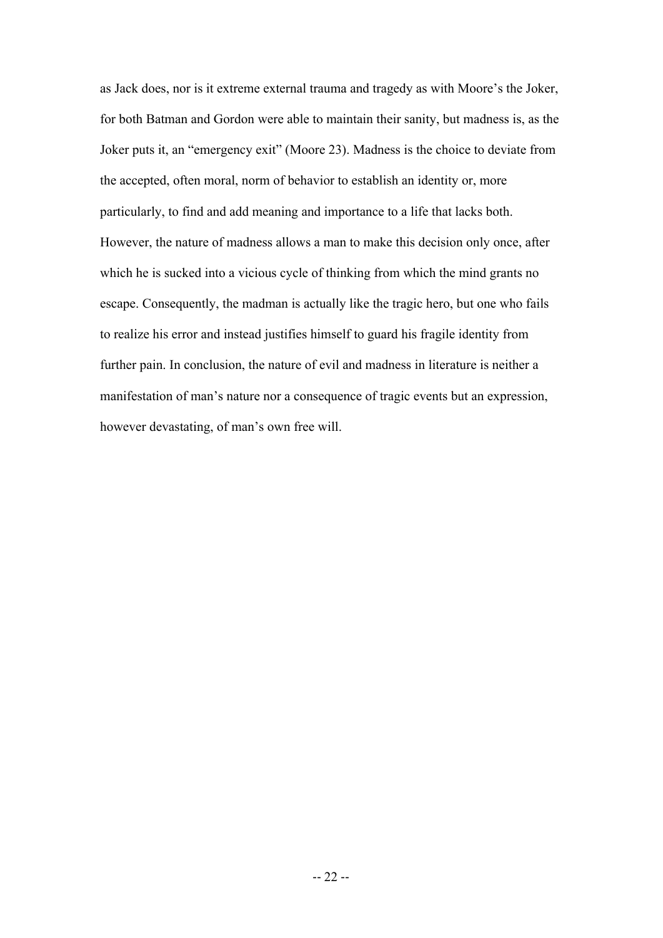as Jack does, nor is it extreme external trauma and tragedy as with Moore's the Joker, for both Batman and Gordon were able to maintain their sanity, but madness is, as the Joker puts it, an "emergency exit" (Moore 23). Madness is the choice to deviate from the accepted, often moral, norm of behavior to establish an identity or, more particularly, to find and add meaning and importance to a life that lacks both. However, the nature of madness allows a man to make this decision only once, after which he is sucked into a vicious cycle of thinking from which the mind grants no escape. Consequently, the madman is actually like the tragic hero, but one who fails to realize his error and instead justifies himself to guard his fragile identity from further pain. In conclusion, the nature of evil and madness in literature is neither a manifestation of man's nature nor a consequence of tragic events but an expression, however devastating, of man's own free will.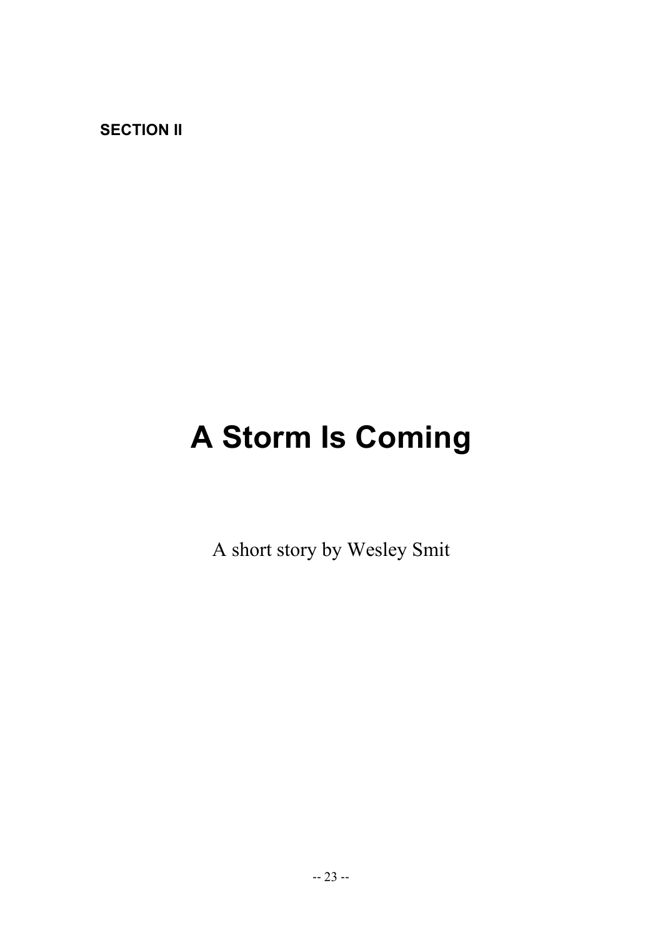**SECTION II**

# **A Storm Is Coming**

A short story by Wesley Smit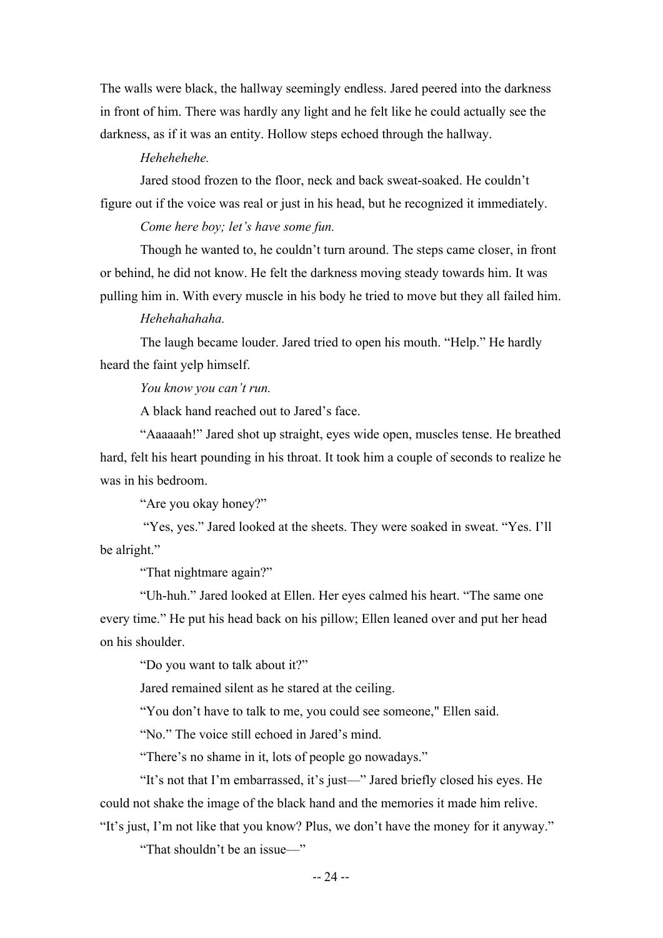The walls were black, the hallway seemingly endless. Jared peered into the darkness in front of him. There was hardly any light and he felt like he could actually see the darkness, as if it was an entity. Hollow steps echoed through the hallway.

#### *Hehehehehe.*

Jared stood frozen to the floor, neck and back sweat-soaked. He couldn't figure out if the voice was real or just in his head, but he recognized it immediately.

*Come here boy; let's have some fun.*

Though he wanted to, he couldn't turn around. The steps came closer, in front or behind, he did not know. He felt the darkness moving steady towards him. It was pulling him in. With every muscle in his body he tried to move but they all failed him.

#### *Hehehahahaha.*

The laugh became louder. Jared tried to open his mouth. "Help." He hardly heard the faint yelp himself.

*You know you can't run.*

A black hand reached out to Jared's face.

"Aaaaaah!" Jared shot up straight, eyes wide open, muscles tense. He breathed hard, felt his heart pounding in his throat. It took him a couple of seconds to realize he was in his bedroom.

"Are you okay honey?"

"Yes, yes." Jared looked at the sheets. They were soaked in sweat. "Yes. I'll be alright."

"That nightmare again?"

"Uh-huh." Jared looked at Ellen. Her eyes calmed his heart. "The same one every time." He put his head back on his pillow; Ellen leaned over and put her head on his shoulder.

"Do you want to talk about it?"

Jared remained silent as he stared at the ceiling.

"You don't have to talk to me, you could see someone," Ellen said.

"No." The voice still echoed in Jared's mind.

"There's no shame in it, lots of people go nowadays."

"It's not that I'm embarrassed, it's just—" Jared briefly closed his eyes. He could not shake the image of the black hand and the memories it made him relive. "It's just, I'm not like that you know? Plus, we don't have the money for it anyway."

"That shouldn't be an issue—"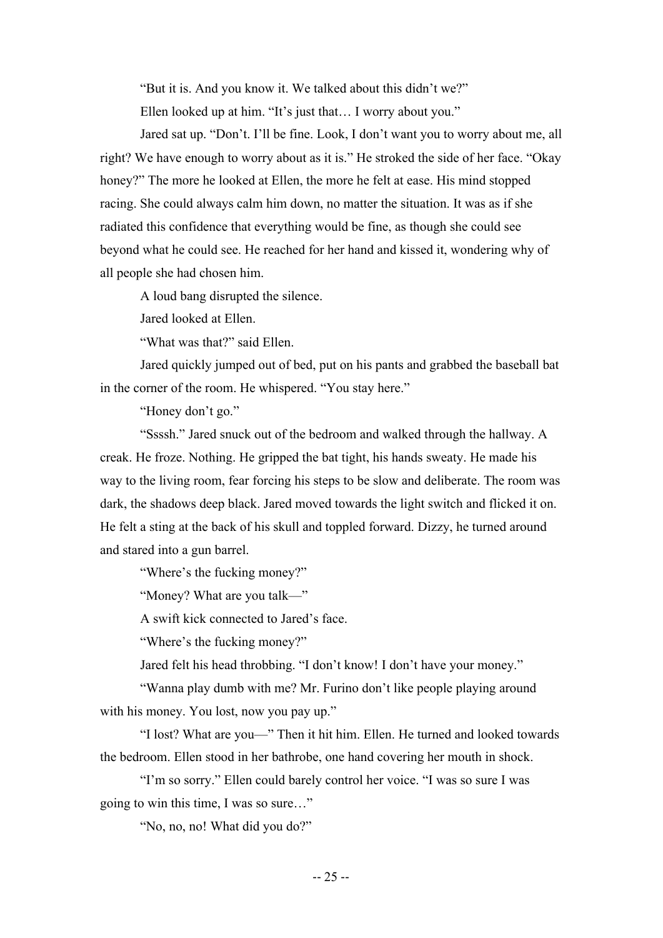"But it is. And you know it. We talked about this didn't we?"

Ellen looked up at him. "It's just that... I worry about you."

Jared sat up. "Don't. I'll be fine. Look, I don't want you to worry about me, all right? We have enough to worry about as it is." He stroked the side of her face. "Okay honey?" The more he looked at Ellen, the more he felt at ease. His mind stopped racing. She could always calm him down, no matter the situation. It was as if she radiated this confidence that everything would be fine, as though she could see beyond what he could see. He reached for her hand and kissed it, wondering why of all people she had chosen him.

A loud bang disrupted the silence.

Jared looked at Ellen.

"What was that?" said Ellen.

Jared quickly jumped out of bed, put on his pants and grabbed the baseball bat in the corner of the room. He whispered. "You stay here."

"Honey don't go."

"Ssssh." Jared snuck out of the bedroom and walked through the hallway. A creak. He froze. Nothing. He gripped the bat tight, his hands sweaty. He made his way to the living room, fear forcing his steps to be slow and deliberate. The room was dark, the shadows deep black. Jared moved towards the light switch and flicked it on. He felt a sting at the back of his skull and toppled forward. Dizzy, he turned around and stared into a gun barrel.

"Where's the fucking money?"

"Money? What are you talk—"

A swift kick connected to Jared's face.

"Where's the fucking money?"

Jared felt his head throbbing. "I don't know! I don't have your money."

"Wanna play dumb with me? Mr. Furino don't like people playing around with his money. You lost, now you pay up."

"I lost? What are you—" Then it hit him. Ellen. He turned and looked towards the bedroom. Ellen stood in her bathrobe, one hand covering her mouth in shock.

"I'm so sorry." Ellen could barely control her voice. "I was so sure I was going to win this time, I was so sure…"

"No, no, no! What did you do?"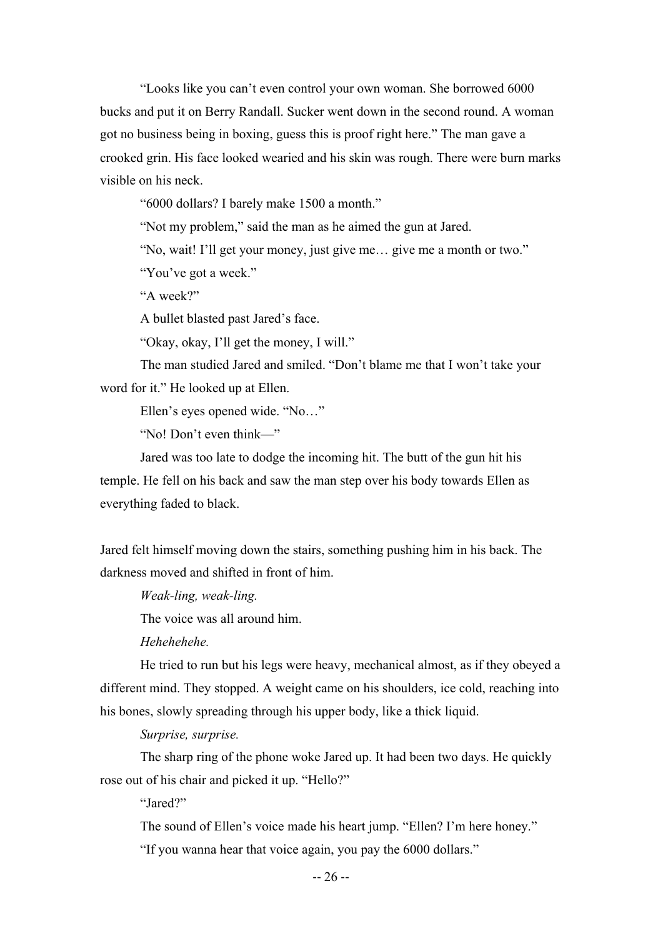"Looks like you can't even control your own woman. She borrowed 6000 bucks and put it on Berry Randall. Sucker went down in the second round. A woman got no business being in boxing, guess this is proof right here." The man gave a crooked grin. His face looked wearied and his skin was rough. There were burn marks visible on his neck.

"6000 dollars? I barely make 1500 a month."

"Not my problem," said the man as he aimed the gun at Jared.

"No, wait! I'll get your money, just give me… give me a month or two."

"You've got a week."

"A week?"

A bullet blasted past Jared's face.

"Okay, okay, I'll get the money, I will."

The man studied Jared and smiled. "Don't blame me that I won't take your word for it." He looked up at Ellen.

Ellen's eyes opened wide. "No…"

"No! Don't even think—"

Jared was too late to dodge the incoming hit. The butt of the gun hit his temple. He fell on his back and saw the man step over his body towards Ellen as everything faded to black.

Jared felt himself moving down the stairs, something pushing him in his back. The darkness moved and shifted in front of him.

*Weak-ling, weak-ling.* 

The voice was all around him.

*Hehehehehe.*

He tried to run but his legs were heavy, mechanical almost, as if they obeyed a different mind. They stopped. A weight came on his shoulders, ice cold, reaching into his bones, slowly spreading through his upper body, like a thick liquid.

*Surprise, surprise.*

The sharp ring of the phone woke Jared up. It had been two days. He quickly rose out of his chair and picked it up. "Hello?"

"Jared?"

The sound of Ellen's voice made his heart jump. "Ellen? I'm here honey."

"If you wanna hear that voice again, you pay the 6000 dollars."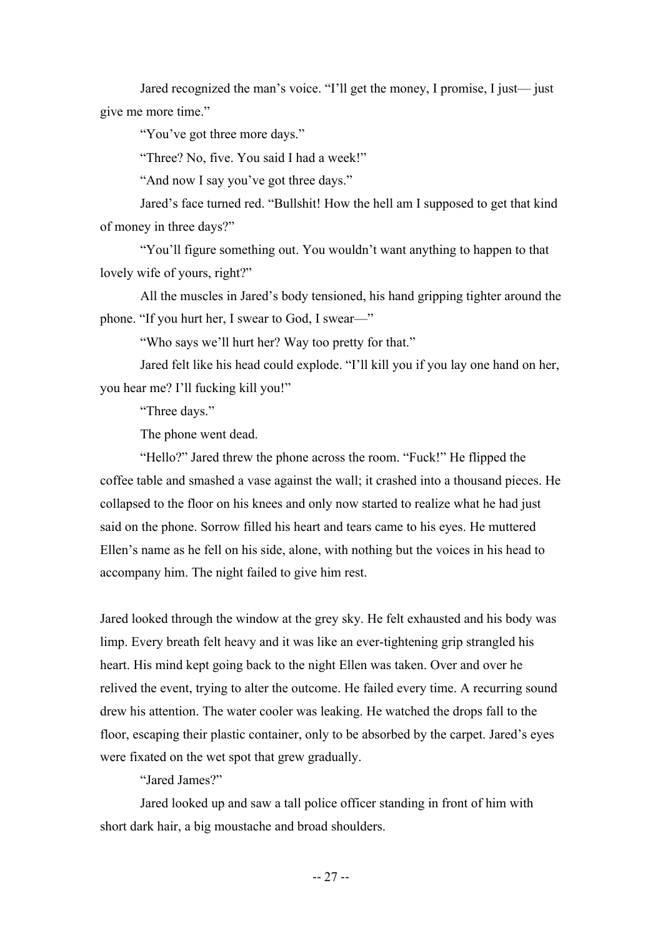Jared recognized the man's voice. "I'll get the money, I promise, I just— just give me more time."

"You've got three more days."

"Three? No, five. You said I had a week!"

"And now I say you've got three days."

Jared's face turned red. "Bullshit! How the hell am I supposed to get that kind of money in three days?"

"You'll figure something out. You wouldn't want anything to happen to that lovely wife of yours, right?"

All the muscles in Jared's body tensioned, his hand gripping tighter around the phone. "If you hurt her, I swear to God, I swear—"

"Who says we'll hurt her? Way too pretty for that."

Jared felt like his head could explode. "I'll kill you if you lay one hand on her, you hear me? I'll fucking kill you!"

"Three days."

The phone went dead.

"Hello?" Jared threw the phone across the room. "Fuck!" He flipped the coffee table and smashed a vase against the wall; it crashed into a thousand pieces. He collapsed to the floor on his knees and only now started to realize what he had just said on the phone. Sorrow filled his heart and tears came to his eyes. He muttered Ellen's name as he fell on his side, alone, with nothing but the voices in his head to accompany him. The night failed to give him rest.

Jared looked through the window at the grey sky. He felt exhausted and his body was limp. Every breath felt heavy and it was like an ever-tightening grip strangled his heart. His mind kept going back to the night Ellen was taken. Over and over he relived the event, trying to alter the outcome. He failed every time. A recurring sound drew his attention. The water cooler was leaking. He watched the drops fall to the floor, escaping their plastic container, only to be absorbed by the carpet. Jared's eyes were fixated on the wet spot that grew gradually.

"Jared James?"

Jared looked up and saw a tall police officer standing in front of him with short dark hair, a big moustache and broad shoulders.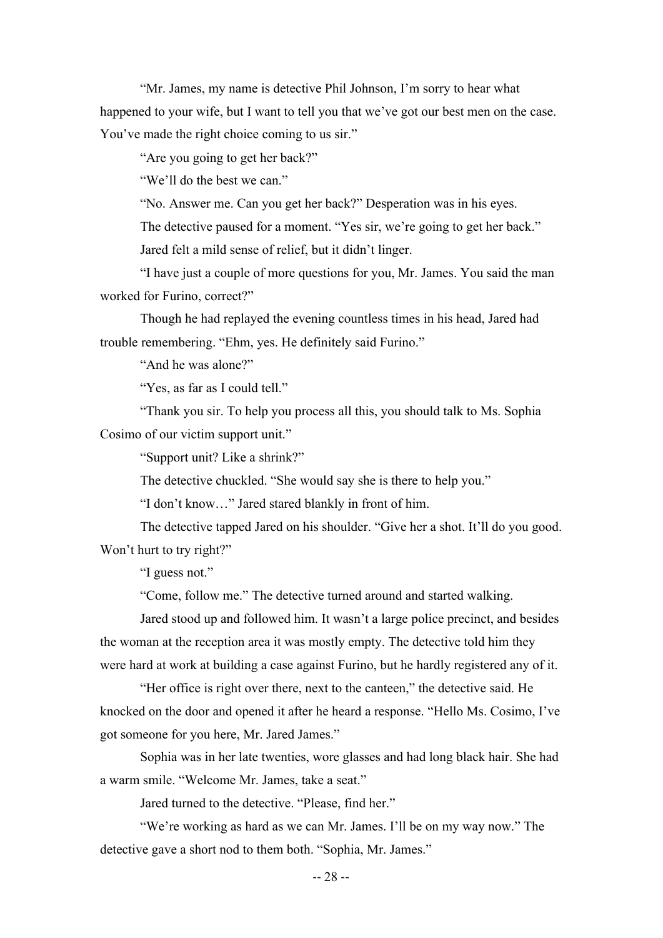"Mr. James, my name is detective Phil Johnson, I'm sorry to hear what happened to your wife, but I want to tell you that we've got our best men on the case. You've made the right choice coming to us sir."

"Are you going to get her back?"

"We'll do the best we can."

"No. Answer me. Can you get her back?" Desperation was in his eyes.

The detective paused for a moment. "Yes sir, we're going to get her back."

Jared felt a mild sense of relief, but it didn't linger.

"I have just a couple of more questions for you, Mr. James. You said the man worked for Furino, correct?"

Though he had replayed the evening countless times in his head, Jared had trouble remembering. "Ehm, yes. He definitely said Furino."

"And he was alone?"

"Yes, as far as I could tell."

"Thank you sir. To help you process all this, you should talk to Ms. Sophia Cosimo of our victim support unit."

"Support unit? Like a shrink?"

The detective chuckled. "She would say she is there to help you."

"I don't know…" Jared stared blankly in front of him.

The detective tapped Jared on his shoulder. "Give her a shot. It'll do you good. Won't hurt to try right?"

"I guess not."

"Come, follow me." The detective turned around and started walking.

Jared stood up and followed him. It wasn't a large police precinct, and besides the woman at the reception area it was mostly empty. The detective told him they were hard at work at building a case against Furino, but he hardly registered any of it.

"Her office is right over there, next to the canteen," the detective said. He knocked on the door and opened it after he heard a response. "Hello Ms. Cosimo, I've got someone for you here, Mr. Jared James."

Sophia was in her late twenties, wore glasses and had long black hair. She had a warm smile. "Welcome Mr. James, take a seat."

Jared turned to the detective. "Please, find her."

"We're working as hard as we can Mr. James. I'll be on my way now." The detective gave a short nod to them both. "Sophia, Mr. James."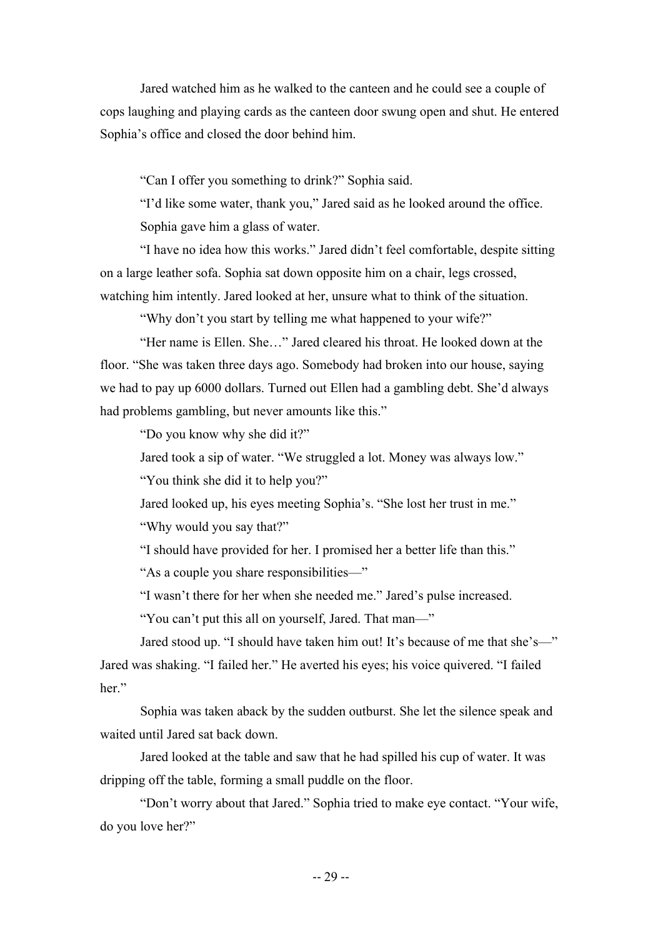Jared watched him as he walked to the canteen and he could see a couple of cops laughing and playing cards as the canteen door swung open and shut. He entered Sophia's office and closed the door behind him.

"Can I offer you something to drink?" Sophia said.

"I'd like some water, thank you," Jared said as he looked around the office. Sophia gave him a glass of water.

"I have no idea how this works." Jared didn't feel comfortable, despite sitting on a large leather sofa. Sophia sat down opposite him on a chair, legs crossed, watching him intently. Jared looked at her, unsure what to think of the situation.

"Why don't you start by telling me what happened to your wife?"

"Her name is Ellen. She…" Jared cleared his throat. He looked down at the floor. "She was taken three days ago. Somebody had broken into our house, saying we had to pay up 6000 dollars. Turned out Ellen had a gambling debt. She'd always had problems gambling, but never amounts like this."

"Do you know why she did it?"

Jared took a sip of water. "We struggled a lot. Money was always low."

"You think she did it to help you?"

Jared looked up, his eyes meeting Sophia's. "She lost her trust in me."

"Why would you say that?"

"I should have provided for her. I promised her a better life than this."

"As a couple you share responsibilities—"

"I wasn't there for her when she needed me." Jared's pulse increased.

"You can't put this all on yourself, Jared. That man—"

Jared stood up. "I should have taken him out! It's because of me that she's—" Jared was shaking. "I failed her." He averted his eyes; his voice quivered. "I failed her."

Sophia was taken aback by the sudden outburst. She let the silence speak and waited until Jared sat back down.

Jared looked at the table and saw that he had spilled his cup of water. It was dripping off the table, forming a small puddle on the floor.

"Don't worry about that Jared." Sophia tried to make eye contact. "Your wife, do you love her?"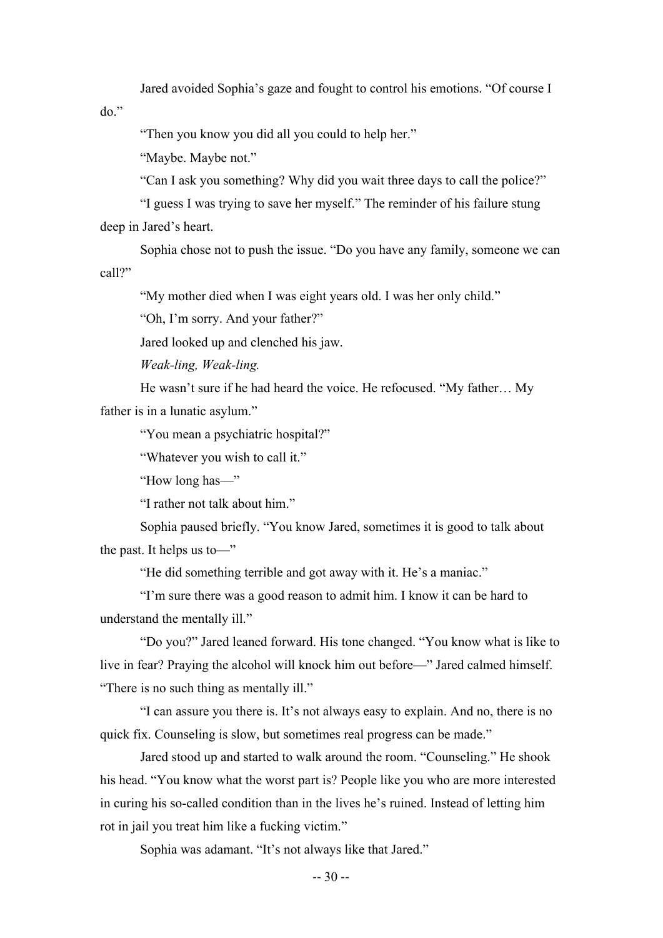Jared avoided Sophia's gaze and fought to control his emotions. "Of course I

do."

"Then you know you did all you could to help her."

"Maybe. Maybe not."

"Can I ask you something? Why did you wait three days to call the police?"

"I guess I was trying to save her myself." The reminder of his failure stung deep in Jared's heart.

Sophia chose not to push the issue. "Do you have any family, someone we can call?"

"My mother died when I was eight years old. I was her only child."

"Oh, I'm sorry. And your father?"

Jared looked up and clenched his jaw.

*Weak-ling, Weak-ling.*

He wasn't sure if he had heard the voice. He refocused. "My father… My father is in a lunatic asylum."

"You mean a psychiatric hospital?"

"Whatever you wish to call it."

"How long has—"

"I rather not talk about him."

Sophia paused briefly. "You know Jared, sometimes it is good to talk about the past. It helps us to—"

"He did something terrible and got away with it. He's a maniac."

"I'm sure there was a good reason to admit him. I know it can be hard to understand the mentally ill."

"Do you?" Jared leaned forward. His tone changed. "You know what is like to live in fear? Praying the alcohol will knock him out before—" Jared calmed himself. "There is no such thing as mentally ill."

"I can assure you there is. It's not always easy to explain. And no, there is no quick fix. Counseling is slow, but sometimes real progress can be made."

Jared stood up and started to walk around the room. "Counseling." He shook his head. "You know what the worst part is? People like you who are more interested in curing his so-called condition than in the lives he's ruined. Instead of letting him rot in jail you treat him like a fucking victim."

Sophia was adamant. "It's not always like that Jared."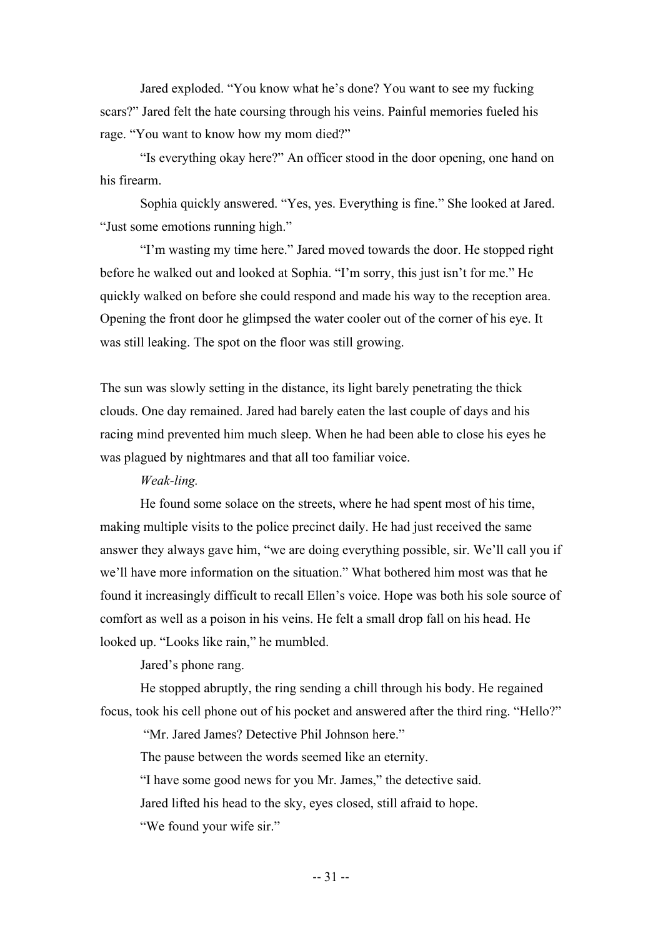Jared exploded. "You know what he's done? You want to see my fucking scars?" Jared felt the hate coursing through his veins. Painful memories fueled his rage. "You want to know how my mom died?"

"Is everything okay here?" An officer stood in the door opening, one hand on his firearm.

Sophia quickly answered. "Yes, yes. Everything is fine." She looked at Jared. "Just some emotions running high."

"I'm wasting my time here." Jared moved towards the door. He stopped right before he walked out and looked at Sophia. "I'm sorry, this just isn't for me." He quickly walked on before she could respond and made his way to the reception area. Opening the front door he glimpsed the water cooler out of the corner of his eye. It was still leaking. The spot on the floor was still growing.

The sun was slowly setting in the distance, its light barely penetrating the thick clouds. One day remained. Jared had barely eaten the last couple of days and his racing mind prevented him much sleep. When he had been able to close his eyes he was plagued by nightmares and that all too familiar voice.

#### *Weak-ling.*

He found some solace on the streets, where he had spent most of his time, making multiple visits to the police precinct daily. He had just received the same answer they always gave him, "we are doing everything possible, sir. We'll call you if we'll have more information on the situation." What bothered him most was that he found it increasingly difficult to recall Ellen's voice. Hope was both his sole source of comfort as well as a poison in his veins. He felt a small drop fall on his head. He looked up. "Looks like rain," he mumbled.

Jared's phone rang.

He stopped abruptly, the ring sending a chill through his body. He regained focus, took his cell phone out of his pocket and answered after the third ring. "Hello?"

"Mr. Jared James? Detective Phil Johnson here."

The pause between the words seemed like an eternity. "I have some good news for you Mr. James," the detective said. Jared lifted his head to the sky, eyes closed, still afraid to hope. "We found your wife sir."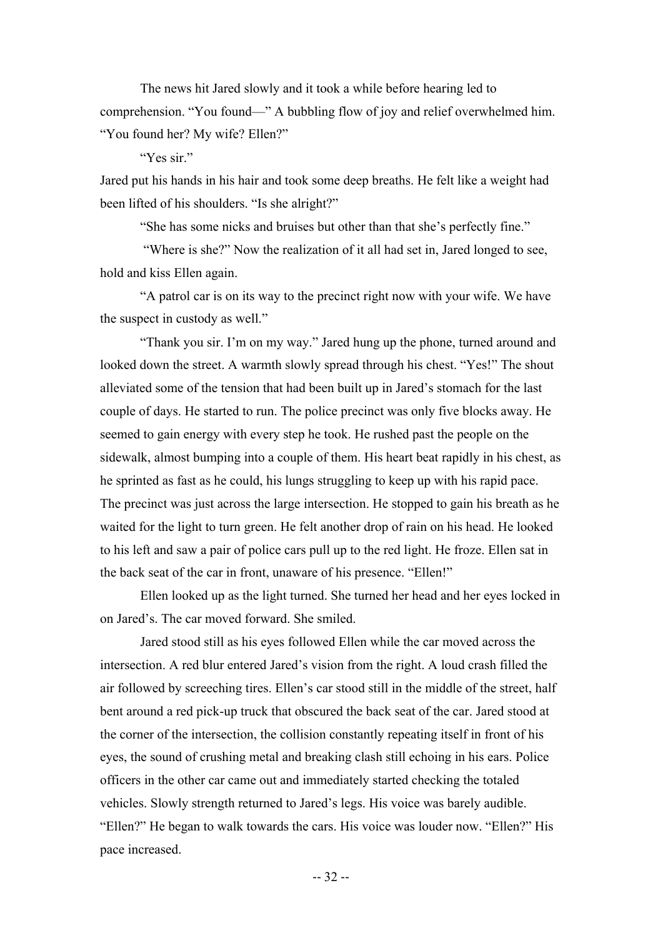The news hit Jared slowly and it took a while before hearing led to comprehension. "You found—" A bubbling flow of joy and relief overwhelmed him. "You found her? My wife? Ellen?"

"Yes sir."

Jared put his hands in his hair and took some deep breaths. He felt like a weight had been lifted of his shoulders. "Is she alright?"

"She has some nicks and bruises but other than that she's perfectly fine."

"Where is she?" Now the realization of it all had set in, Jared longed to see, hold and kiss Ellen again.

"A patrol car is on its way to the precinct right now with your wife. We have the suspect in custody as well."

"Thank you sir. I'm on my way." Jared hung up the phone, turned around and looked down the street. A warmth slowly spread through his chest. "Yes!" The shout alleviated some of the tension that had been built up in Jared's stomach for the last couple of days. He started to run. The police precinct was only five blocks away. He seemed to gain energy with every step he took. He rushed past the people on the sidewalk, almost bumping into a couple of them. His heart beat rapidly in his chest, as he sprinted as fast as he could, his lungs struggling to keep up with his rapid pace. The precinct was just across the large intersection. He stopped to gain his breath as he waited for the light to turn green. He felt another drop of rain on his head. He looked to his left and saw a pair of police cars pull up to the red light. He froze. Ellen sat in the back seat of the car in front, unaware of his presence. "Ellen!"

Ellen looked up as the light turned. She turned her head and her eyes locked in on Jared's. The car moved forward. She smiled.

Jared stood still as his eyes followed Ellen while the car moved across the intersection. A red blur entered Jared's vision from the right. A loud crash filled the air followed by screeching tires. Ellen's car stood still in the middle of the street, half bent around a red pick-up truck that obscured the back seat of the car. Jared stood at the corner of the intersection, the collision constantly repeating itself in front of his eyes, the sound of crushing metal and breaking clash still echoing in his ears. Police officers in the other car came out and immediately started checking the totaled vehicles. Slowly strength returned to Jared's legs. His voice was barely audible. "Ellen?" He began to walk towards the cars. His voice was louder now. "Ellen?" His pace increased.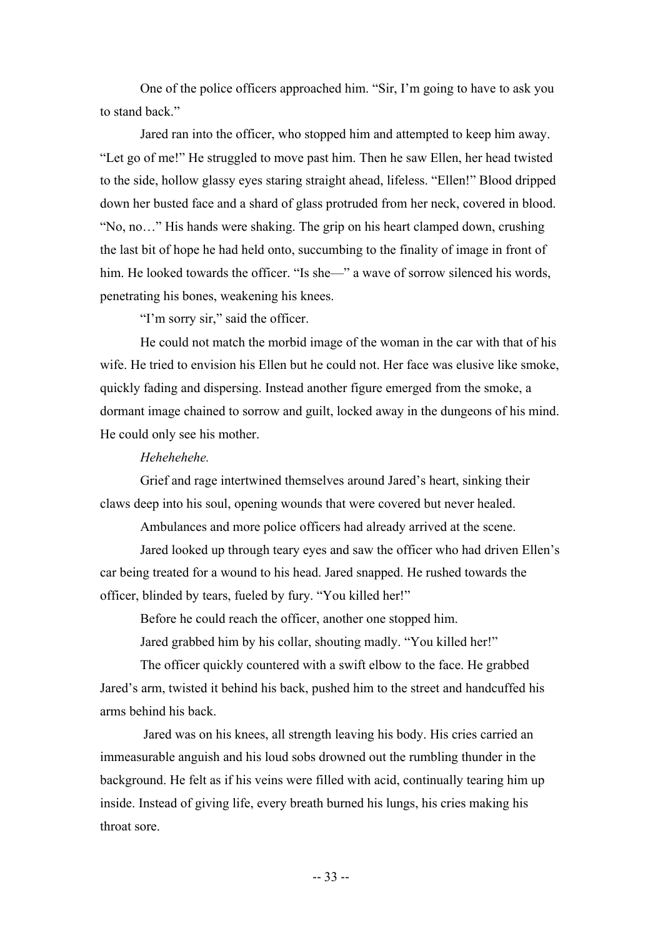One of the police officers approached him. "Sir, I'm going to have to ask you to stand back."

Jared ran into the officer, who stopped him and attempted to keep him away. "Let go of me!" He struggled to move past him. Then he saw Ellen, her head twisted to the side, hollow glassy eyes staring straight ahead, lifeless. "Ellen!" Blood dripped down her busted face and a shard of glass protruded from her neck, covered in blood. "No, no…" His hands were shaking. The grip on his heart clamped down, crushing the last bit of hope he had held onto, succumbing to the finality of image in front of him. He looked towards the officer. "Is she—" a wave of sorrow silenced his words, penetrating his bones, weakening his knees.

"I'm sorry sir," said the officer.

He could not match the morbid image of the woman in the car with that of his wife. He tried to envision his Ellen but he could not. Her face was elusive like smoke, quickly fading and dispersing. Instead another figure emerged from the smoke, a dormant image chained to sorrow and guilt, locked away in the dungeons of his mind. He could only see his mother.

#### *Hehehehehe.*

Grief and rage intertwined themselves around Jared's heart, sinking their claws deep into his soul, opening wounds that were covered but never healed.

Ambulances and more police officers had already arrived at the scene.

Jared looked up through teary eyes and saw the officer who had driven Ellen's car being treated for a wound to his head. Jared snapped. He rushed towards the officer, blinded by tears, fueled by fury. "You killed her!"

Before he could reach the officer, another one stopped him.

Jared grabbed him by his collar, shouting madly. "You killed her!"

The officer quickly countered with a swift elbow to the face. He grabbed Jared's arm, twisted it behind his back, pushed him to the street and handcuffed his arms behind his back.

Jared was on his knees, all strength leaving his body. His cries carried an immeasurable anguish and his loud sobs drowned out the rumbling thunder in the background. He felt as if his veins were filled with acid, continually tearing him up inside. Instead of giving life, every breath burned his lungs, his cries making his throat sore.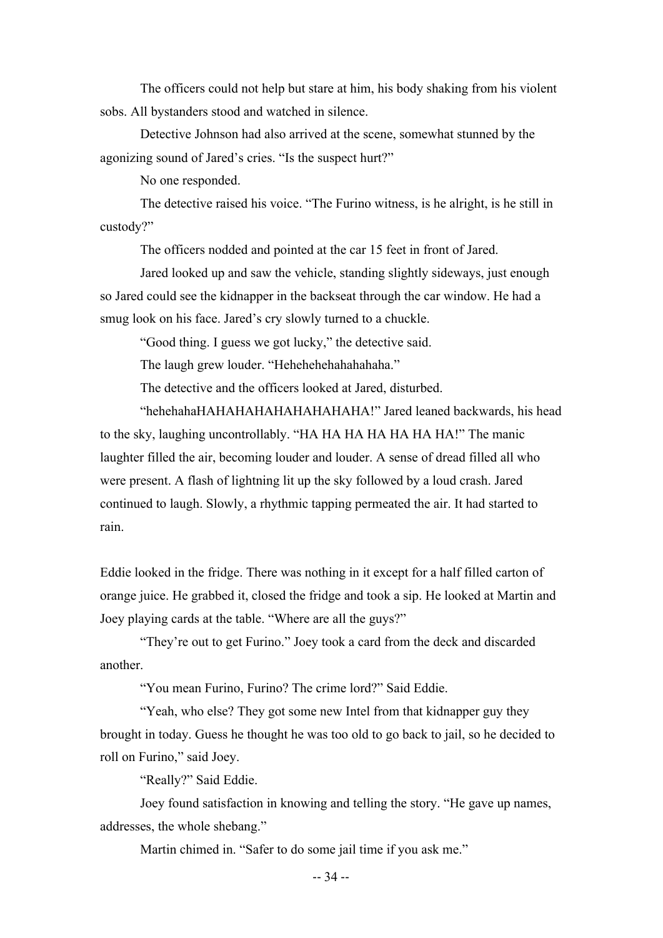The officers could not help but stare at him, his body shaking from his violent sobs. All bystanders stood and watched in silence.

Detective Johnson had also arrived at the scene, somewhat stunned by the agonizing sound of Jared's cries. "Is the suspect hurt?"

No one responded.

The detective raised his voice. "The Furino witness, is he alright, is he still in custody?"

The officers nodded and pointed at the car 15 feet in front of Jared.

Jared looked up and saw the vehicle, standing slightly sideways, just enough so Jared could see the kidnapper in the backseat through the car window. He had a smug look on his face. Jared's cry slowly turned to a chuckle.

"Good thing. I guess we got lucky," the detective said.

The laugh grew louder. "Hehehehehahahahaha."

The detective and the officers looked at Jared, disturbed.

"hehehahaHAHAHAHAHAHAHAHAHA!" Jared leaned backwards, his head to the sky, laughing uncontrollably. "HA HA HA HA HA HA HA!" The manic laughter filled the air, becoming louder and louder. A sense of dread filled all who were present. A flash of lightning lit up the sky followed by a loud crash. Jared continued to laugh. Slowly, a rhythmic tapping permeated the air. It had started to rain.

Eddie looked in the fridge. There was nothing in it except for a half filled carton of orange juice. He grabbed it, closed the fridge and took a sip. He looked at Martin and Joey playing cards at the table. "Where are all the guys?"

"They're out to get Furino." Joey took a card from the deck and discarded another.

"You mean Furino, Furino? The crime lord?" Said Eddie.

"Yeah, who else? They got some new Intel from that kidnapper guy they brought in today. Guess he thought he was too old to go back to jail, so he decided to roll on Furino," said Joey.

"Really?" Said Eddie.

Joey found satisfaction in knowing and telling the story. "He gave up names, addresses, the whole shebang."

Martin chimed in. "Safer to do some jail time if you ask me."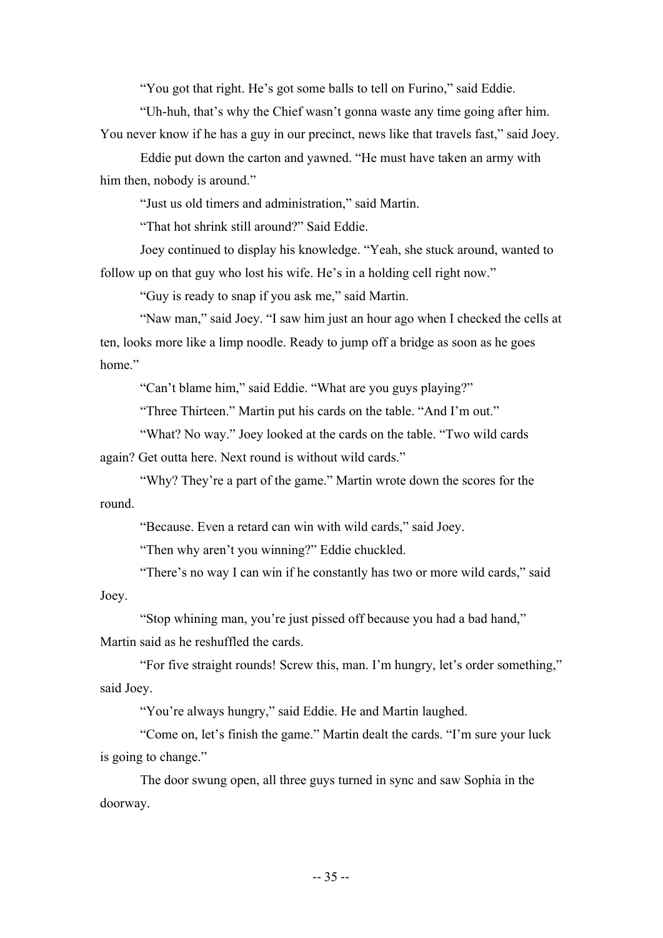"You got that right. He's got some balls to tell on Furino," said Eddie.

"Uh-huh, that's why the Chief wasn't gonna waste any time going after him.

You never know if he has a guy in our precinct, news like that travels fast," said Joey.

Eddie put down the carton and yawned. "He must have taken an army with him then, nobody is around."

"Just us old timers and administration," said Martin.

"That hot shrink still around?" Said Eddie.

Joey continued to display his knowledge. "Yeah, she stuck around, wanted to follow up on that guy who lost his wife. He's in a holding cell right now."

"Guy is ready to snap if you ask me," said Martin.

"Naw man," said Joey. "I saw him just an hour ago when I checked the cells at ten, looks more like a limp noodle. Ready to jump off a bridge as soon as he goes home."

"Can't blame him," said Eddie. "What are you guys playing?"

"Three Thirteen." Martin put his cards on the table. "And I'm out."

"What? No way." Joey looked at the cards on the table. "Two wild cards again? Get outta here. Next round is without wild cards."

"Why? They're a part of the game." Martin wrote down the scores for the round.

"Because. Even a retard can win with wild cards," said Joey.

"Then why aren't you winning?" Eddie chuckled.

"There's no way I can win if he constantly has two or more wild cards," said Joey.

"Stop whining man, you're just pissed off because you had a bad hand,"

Martin said as he reshuffled the cards.

"For five straight rounds! Screw this, man. I'm hungry, let's order something," said Joey.

"You're always hungry," said Eddie. He and Martin laughed.

"Come on, let's finish the game." Martin dealt the cards. "I'm sure your luck is going to change."

The door swung open, all three guys turned in sync and saw Sophia in the doorway.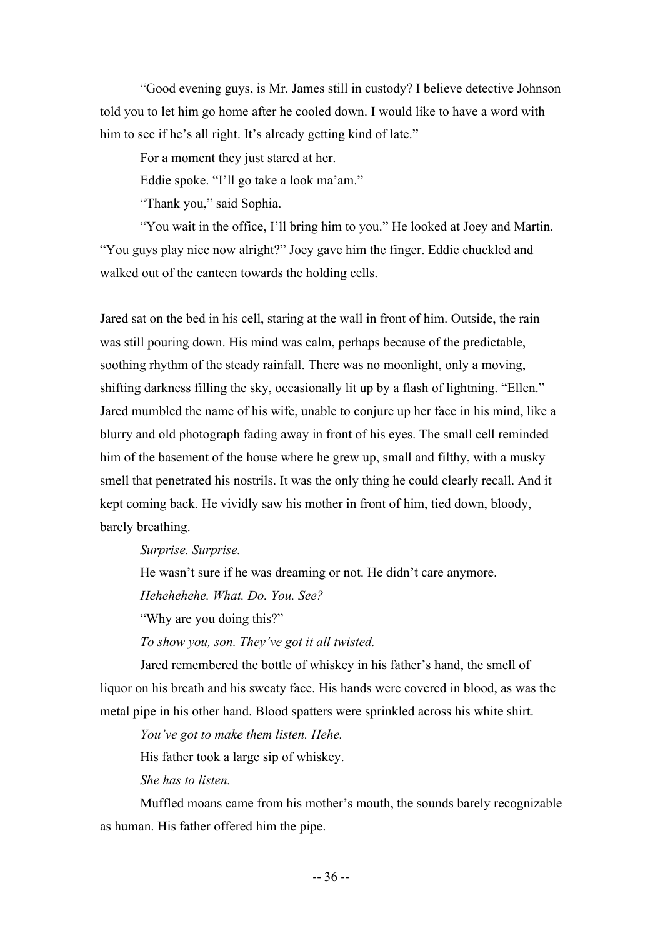"Good evening guys, is Mr. James still in custody? I believe detective Johnson told you to let him go home after he cooled down. I would like to have a word with him to see if he's all right. It's already getting kind of late."

For a moment they just stared at her.

Eddie spoke. "I'll go take a look ma'am."

"Thank you," said Sophia.

"You wait in the office, I'll bring him to you." He looked at Joey and Martin. "You guys play nice now alright?" Joey gave him the finger. Eddie chuckled and walked out of the canteen towards the holding cells.

Jared sat on the bed in his cell, staring at the wall in front of him. Outside, the rain was still pouring down. His mind was calm, perhaps because of the predictable, soothing rhythm of the steady rainfall. There was no moonlight, only a moving, shifting darkness filling the sky, occasionally lit up by a flash of lightning. "Ellen." Jared mumbled the name of his wife, unable to conjure up her face in his mind, like a blurry and old photograph fading away in front of his eyes. The small cell reminded him of the basement of the house where he grew up, small and filthy, with a musky smell that penetrated his nostrils. It was the only thing he could clearly recall. And it kept coming back. He vividly saw his mother in front of him, tied down, bloody, barely breathing.

*Surprise. Surprise.*

He wasn't sure if he was dreaming or not. He didn't care anymore.

*Hehehehehe. What. Do. You. See?*

"Why are you doing this?"

*To show you, son. They've got it all twisted.*

Jared remembered the bottle of whiskey in his father's hand, the smell of liquor on his breath and his sweaty face. His hands were covered in blood, as was the metal pipe in his other hand. Blood spatters were sprinkled across his white shirt.

*You've got to make them listen. Hehe.*

His father took a large sip of whiskey.

*She has to listen.*

Muffled moans came from his mother's mouth, the sounds barely recognizable as human. His father offered him the pipe.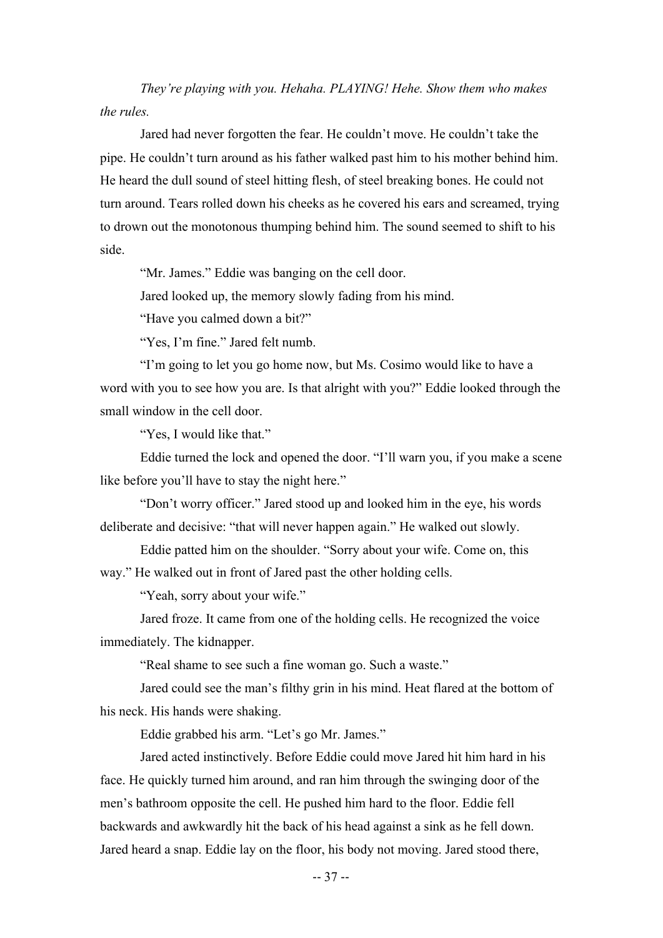*They're playing with you. Hehaha. PLAYING! Hehe. Show them who makes the rules.*

Jared had never forgotten the fear. He couldn't move. He couldn't take the pipe. He couldn't turn around as his father walked past him to his mother behind him. He heard the dull sound of steel hitting flesh, of steel breaking bones. He could not turn around. Tears rolled down his cheeks as he covered his ears and screamed, trying to drown out the monotonous thumping behind him. The sound seemed to shift to his side.

"Mr. James." Eddie was banging on the cell door.

Jared looked up, the memory slowly fading from his mind.

"Have you calmed down a bit?"

"Yes, I'm fine." Jared felt numb.

"I'm going to let you go home now, but Ms. Cosimo would like to have a word with you to see how you are. Is that alright with you?" Eddie looked through the small window in the cell door.

"Yes, I would like that."

Eddie turned the lock and opened the door. "I'll warn you, if you make a scene like before you'll have to stay the night here."

"Don't worry officer." Jared stood up and looked him in the eye, his words deliberate and decisive: "that will never happen again." He walked out slowly.

Eddie patted him on the shoulder. "Sorry about your wife. Come on, this

way." He walked out in front of Jared past the other holding cells.

"Yeah, sorry about your wife."

Jared froze. It came from one of the holding cells. He recognized the voice immediately. The kidnapper.

"Real shame to see such a fine woman go. Such a waste."

Jared could see the man's filthy grin in his mind. Heat flared at the bottom of his neck. His hands were shaking.

Eddie grabbed his arm. "Let's go Mr. James."

Jared acted instinctively. Before Eddie could move Jared hit him hard in his face. He quickly turned him around, and ran him through the swinging door of the men's bathroom opposite the cell. He pushed him hard to the floor. Eddie fell backwards and awkwardly hit the back of his head against a sink as he fell down. Jared heard a snap. Eddie lay on the floor, his body not moving. Jared stood there,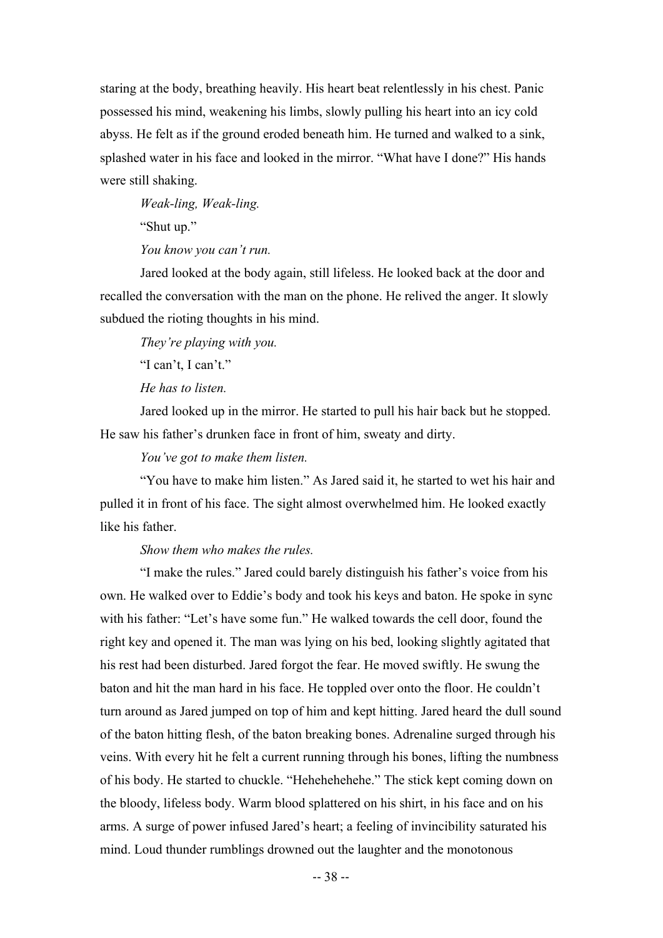staring at the body, breathing heavily. His heart beat relentlessly in his chest. Panic possessed his mind, weakening his limbs, slowly pulling his heart into an icy cold abyss. He felt as if the ground eroded beneath him. He turned and walked to a sink, splashed water in his face and looked in the mirror. "What have I done?" His hands were still shaking.

*Weak-ling, Weak-ling.*

"Shut up."

*You know you can't run.*

Jared looked at the body again, still lifeless. He looked back at the door and recalled the conversation with the man on the phone. He relived the anger. It slowly subdued the rioting thoughts in his mind.

*They're playing with you.*

"I can't, I can't."

*He has to listen.*

Jared looked up in the mirror. He started to pull his hair back but he stopped. He saw his father's drunken face in front of him, sweaty and dirty.

*You've got to make them listen.*

"You have to make him listen." As Jared said it, he started to wet his hair and pulled it in front of his face. The sight almost overwhelmed him. He looked exactly like his father.

*Show them who makes the rules.*

"I make the rules." Jared could barely distinguish his father's voice from his own. He walked over to Eddie's body and took his keys and baton. He spoke in sync with his father: "Let's have some fun." He walked towards the cell door, found the right key and opened it. The man was lying on his bed, looking slightly agitated that his rest had been disturbed. Jared forgot the fear. He moved swiftly. He swung the baton and hit the man hard in his face. He toppled over onto the floor. He couldn't turn around as Jared jumped on top of him and kept hitting. Jared heard the dull sound of the baton hitting flesh, of the baton breaking bones. Adrenaline surged through his veins. With every hit he felt a current running through his bones, lifting the numbness of his body. He started to chuckle. "Hehehehehehe." The stick kept coming down on the bloody, lifeless body. Warm blood splattered on his shirt, in his face and on his arms. A surge of power infused Jared's heart; a feeling of invincibility saturated his mind. Loud thunder rumblings drowned out the laughter and the monotonous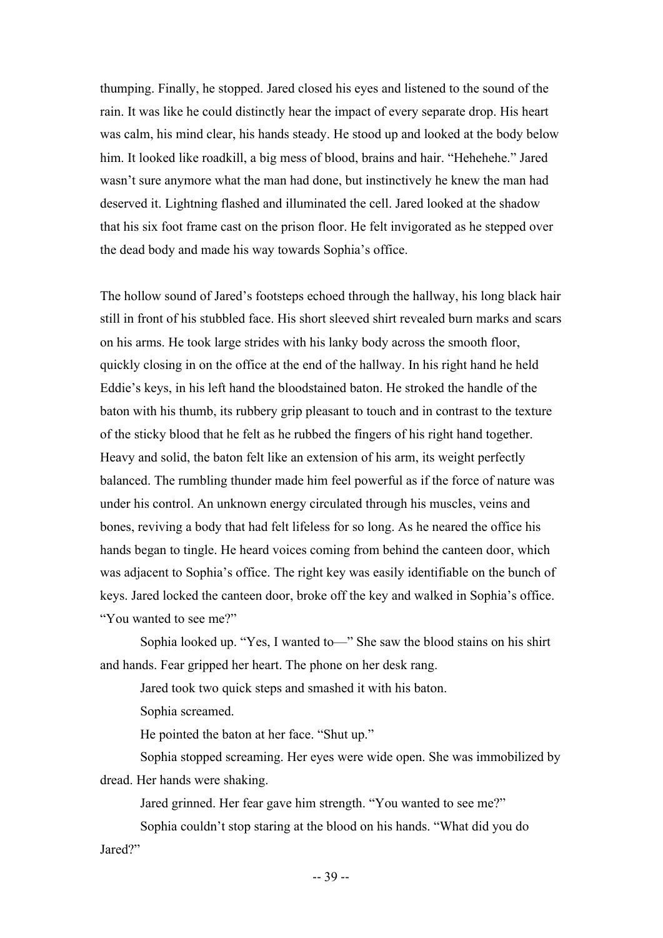thumping. Finally, he stopped. Jared closed his eyes and listened to the sound of the rain. It was like he could distinctly hear the impact of every separate drop. His heart was calm, his mind clear, his hands steady. He stood up and looked at the body below him. It looked like roadkill, a big mess of blood, brains and hair. "Hehehehe." Jared wasn't sure anymore what the man had done, but instinctively he knew the man had deserved it. Lightning flashed and illuminated the cell. Jared looked at the shadow that his six foot frame cast on the prison floor. He felt invigorated as he stepped over the dead body and made his way towards Sophia's office.

The hollow sound of Jared's footsteps echoed through the hallway, his long black hair still in front of his stubbled face. His short sleeved shirt revealed burn marks and scars on his arms. He took large strides with his lanky body across the smooth floor, quickly closing in on the office at the end of the hallway. In his right hand he held Eddie's keys, in his left hand the bloodstained baton. He stroked the handle of the baton with his thumb, its rubbery grip pleasant to touch and in contrast to the texture of the sticky blood that he felt as he rubbed the fingers of his right hand together. Heavy and solid, the baton felt like an extension of his arm, its weight perfectly balanced. The rumbling thunder made him feel powerful as if the force of nature was under his control. An unknown energy circulated through his muscles, veins and bones, reviving a body that had felt lifeless for so long. As he neared the office his hands began to tingle. He heard voices coming from behind the canteen door, which was adjacent to Sophia's office. The right key was easily identifiable on the bunch of keys. Jared locked the canteen door, broke off the key and walked in Sophia's office. "You wanted to see me?"

Sophia looked up. "Yes, I wanted to—" She saw the blood stains on his shirt and hands. Fear gripped her heart. The phone on her desk rang.

Jared took two quick steps and smashed it with his baton.

Sophia screamed.

He pointed the baton at her face. "Shut up."

Sophia stopped screaming. Her eyes were wide open. She was immobilized by dread. Her hands were shaking.

Jared grinned. Her fear gave him strength. "You wanted to see me?"

Sophia couldn't stop staring at the blood on his hands. "What did you do Jared?"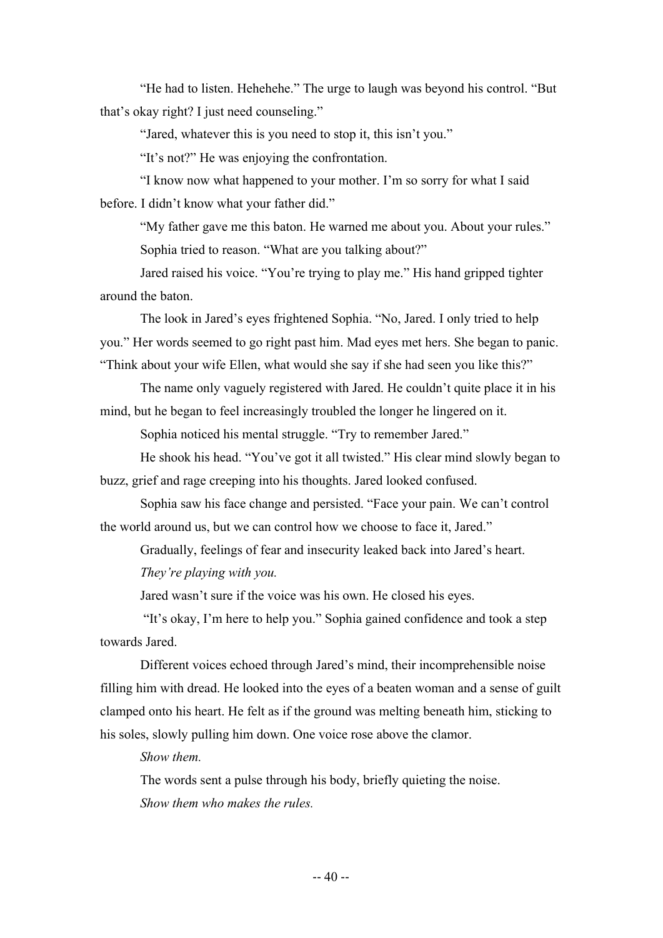"He had to listen. Hehehehe." The urge to laugh was beyond his control. "But that's okay right? I just need counseling."

"Jared, whatever this is you need to stop it, this isn't you."

"It's not?" He was enjoying the confrontation.

"I know now what happened to your mother. I'm so sorry for what I said before. I didn't know what your father did."

"My father gave me this baton. He warned me about you. About your rules." Sophia tried to reason. "What are you talking about?"

Jared raised his voice. "You're trying to play me." His hand gripped tighter around the baton.

The look in Jared's eyes frightened Sophia. "No, Jared. I only tried to help you." Her words seemed to go right past him. Mad eyes met hers. She began to panic. "Think about your wife Ellen, what would she say if she had seen you like this?"

The name only vaguely registered with Jared. He couldn't quite place it in his mind, but he began to feel increasingly troubled the longer he lingered on it.

Sophia noticed his mental struggle. "Try to remember Jared."

He shook his head. "You've got it all twisted." His clear mind slowly began to buzz, grief and rage creeping into his thoughts. Jared looked confused.

Sophia saw his face change and persisted. "Face your pain. We can't control the world around us, but we can control how we choose to face it, Jared."

Gradually, feelings of fear and insecurity leaked back into Jared's heart.

*They're playing with you.*

Jared wasn't sure if the voice was his own. He closed his eyes.

"It's okay, I'm here to help you." Sophia gained confidence and took a step towards Jared.

Different voices echoed through Jared's mind, their incomprehensible noise filling him with dread. He looked into the eyes of a beaten woman and a sense of guilt clamped onto his heart. He felt as if the ground was melting beneath him, sticking to his soles, slowly pulling him down. One voice rose above the clamor.

*Show them.* 

The words sent a pulse through his body, briefly quieting the noise. *Show them who makes the rules.*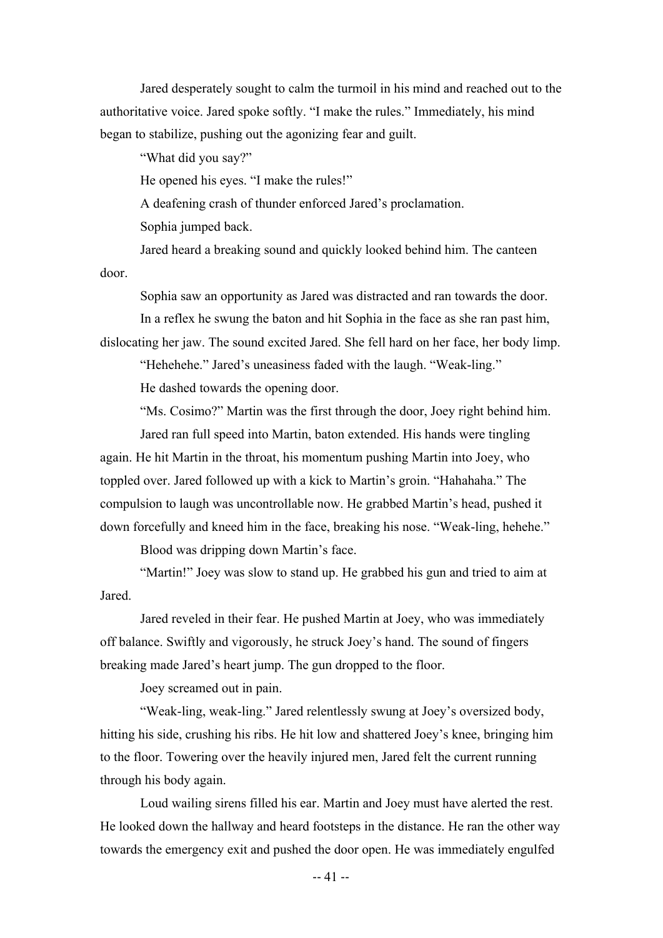Jared desperately sought to calm the turmoil in his mind and reached out to the authoritative voice. Jared spoke softly. "I make the rules." Immediately, his mind began to stabilize, pushing out the agonizing fear and guilt.

"What did you say?"

He opened his eyes. "I make the rules!"

A deafening crash of thunder enforced Jared's proclamation.

Sophia jumped back.

Jared heard a breaking sound and quickly looked behind him. The canteen door.

Sophia saw an opportunity as Jared was distracted and ran towards the door. In a reflex he swung the baton and hit Sophia in the face as she ran past him,

dislocating her jaw. The sound excited Jared. She fell hard on her face, her body limp.

"Hehehehe." Jared's uneasiness faded with the laugh. "Weak-ling."

He dashed towards the opening door.

"Ms. Cosimo?" Martin was the first through the door, Joey right behind him.

Jared ran full speed into Martin, baton extended. His hands were tingling again. He hit Martin in the throat, his momentum pushing Martin into Joey, who toppled over. Jared followed up with a kick to Martin's groin. "Hahahaha." The compulsion to laugh was uncontrollable now. He grabbed Martin's head, pushed it down forcefully and kneed him in the face, breaking his nose. "Weak-ling, hehehe."

Blood was dripping down Martin's face.

"Martin!" Joey was slow to stand up. He grabbed his gun and tried to aim at **Jared** 

Jared reveled in their fear. He pushed Martin at Joey, who was immediately off balance. Swiftly and vigorously, he struck Joey's hand. The sound of fingers breaking made Jared's heart jump. The gun dropped to the floor.

Joey screamed out in pain.

"Weak-ling, weak-ling." Jared relentlessly swung at Joey's oversized body, hitting his side, crushing his ribs. He hit low and shattered Joey's knee, bringing him to the floor. Towering over the heavily injured men, Jared felt the current running through his body again.

Loud wailing sirens filled his ear. Martin and Joey must have alerted the rest. He looked down the hallway and heard footsteps in the distance. He ran the other way towards the emergency exit and pushed the door open. He was immediately engulfed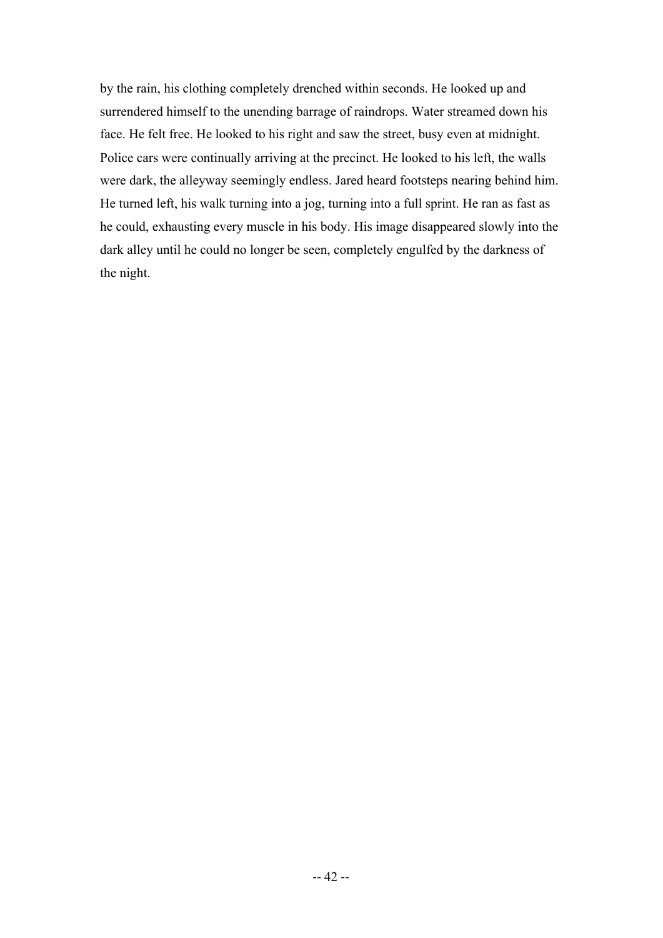by the rain, his clothing completely drenched within seconds. He looked up and surrendered himself to the unending barrage of raindrops. Water streamed down his face. He felt free. He looked to his right and saw the street, busy even at midnight. Police cars were continually arriving at the precinct. He looked to his left, the walls were dark, the alleyway seemingly endless. Jared heard footsteps nearing behind him. He turned left, his walk turning into a jog, turning into a full sprint. He ran as fast as he could, exhausting every muscle in his body. His image disappeared slowly into the dark alley until he could no longer be seen, completely engulfed by the darkness of the night.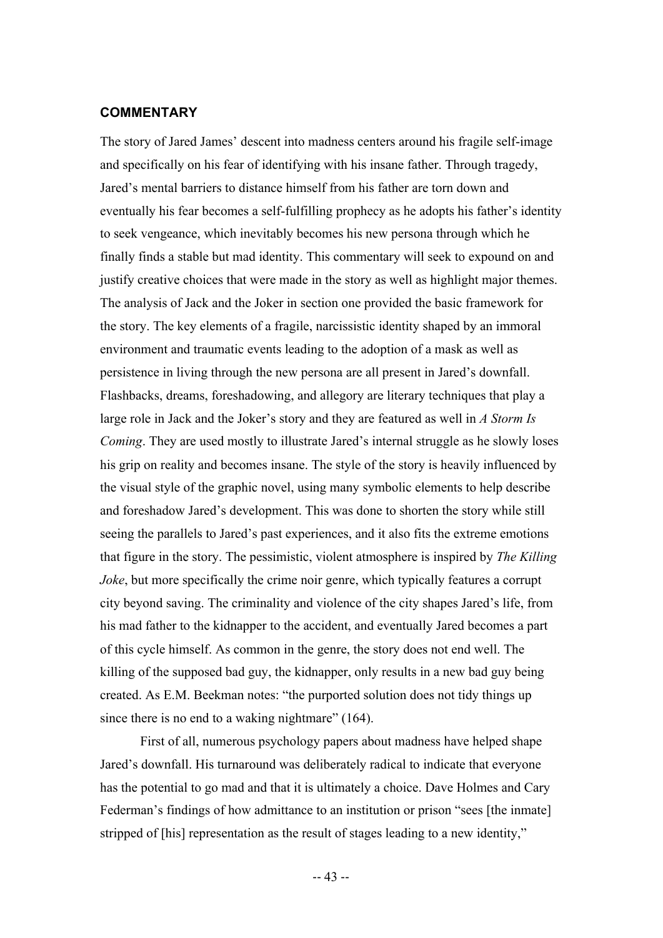#### **COMMENTARY**

The story of Jared James' descent into madness centers around his fragile self-image and specifically on his fear of identifying with his insane father. Through tragedy, Jared's mental barriers to distance himself from his father are torn down and eventually his fear becomes a self-fulfilling prophecy as he adopts his father's identity to seek vengeance, which inevitably becomes his new persona through which he finally finds a stable but mad identity. This commentary will seek to expound on and justify creative choices that were made in the story as well as highlight major themes. The analysis of Jack and the Joker in section one provided the basic framework for the story. The key elements of a fragile, narcissistic identity shaped by an immoral environment and traumatic events leading to the adoption of a mask as well as persistence in living through the new persona are all present in Jared's downfall. Flashbacks, dreams, foreshadowing, and allegory are literary techniques that play a large role in Jack and the Joker's story and they are featured as well in *A Storm Is Coming*. They are used mostly to illustrate Jared's internal struggle as he slowly loses his grip on reality and becomes insane. The style of the story is heavily influenced by the visual style of the graphic novel, using many symbolic elements to help describe and foreshadow Jared's development. This was done to shorten the story while still seeing the parallels to Jared's past experiences, and it also fits the extreme emotions that figure in the story. The pessimistic, violent atmosphere is inspired by *The Killing Joke*, but more specifically the crime noir genre, which typically features a corrupt city beyond saving. The criminality and violence of the city shapes Jared's life, from his mad father to the kidnapper to the accident, and eventually Jared becomes a part of this cycle himself. As common in the genre, the story does not end well. The killing of the supposed bad guy, the kidnapper, only results in a new bad guy being created. As E.M. Beekman notes: "the purported solution does not tidy things up since there is no end to a waking nightmare" (164).

First of all, numerous psychology papers about madness have helped shape Jared's downfall. His turnaround was deliberately radical to indicate that everyone has the potential to go mad and that it is ultimately a choice. Dave Holmes and Cary Federman's findings of how admittance to an institution or prison "sees [the inmate] stripped of [his] representation as the result of stages leading to a new identity,"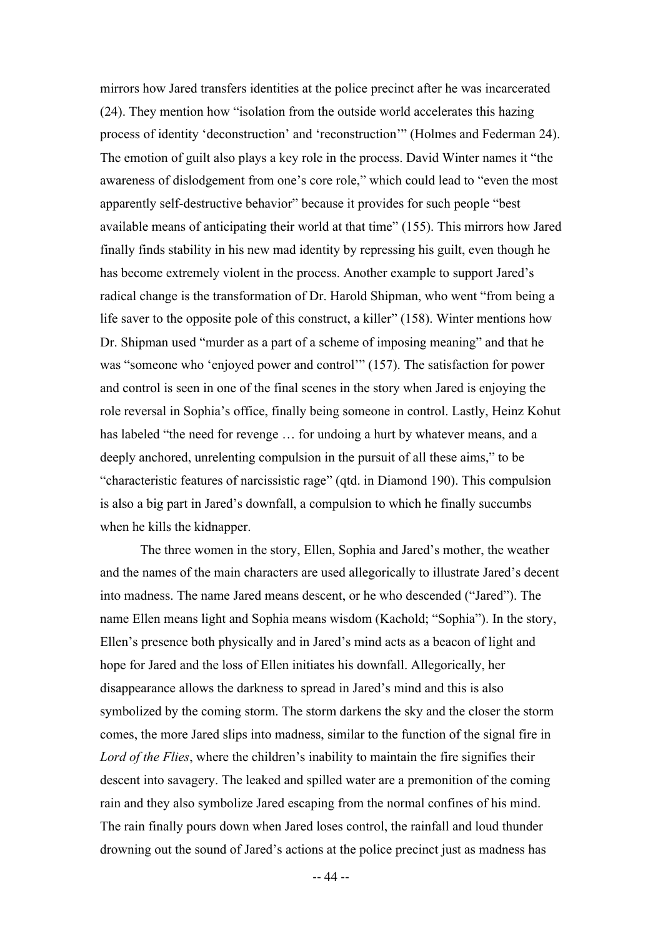mirrors how Jared transfers identities at the police precinct after he was incarcerated (24). They mention how "isolation from the outside world accelerates this hazing process of identity 'deconstruction' and 'reconstruction'" (Holmes and Federman 24). The emotion of guilt also plays a key role in the process. David Winter names it "the awareness of dislodgement from one's core role," which could lead to "even the most apparently self-destructive behavior" because it provides for such people "best available means of anticipating their world at that time" (155). This mirrors how Jared finally finds stability in his new mad identity by repressing his guilt, even though he has become extremely violent in the process. Another example to support Jared's radical change is the transformation of Dr. Harold Shipman, who went "from being a life saver to the opposite pole of this construct, a killer" (158). Winter mentions how Dr. Shipman used "murder as a part of a scheme of imposing meaning" and that he was "someone who 'enjoyed power and control'" (157). The satisfaction for power and control is seen in one of the final scenes in the story when Jared is enjoying the role reversal in Sophia's office, finally being someone in control. Lastly, Heinz Kohut has labeled "the need for revenge ... for undoing a hurt by whatever means, and a deeply anchored, unrelenting compulsion in the pursuit of all these aims," to be "characteristic features of narcissistic rage" (qtd. in Diamond 190). This compulsion is also a big part in Jared's downfall, a compulsion to which he finally succumbs when he kills the kidnapper.

The three women in the story, Ellen, Sophia and Jared's mother, the weather and the names of the main characters are used allegorically to illustrate Jared's decent into madness. The name Jared means descent, or he who descended ("Jared"). The name Ellen means light and Sophia means wisdom (Kachold; "Sophia"). In the story, Ellen's presence both physically and in Jared's mind acts as a beacon of light and hope for Jared and the loss of Ellen initiates his downfall. Allegorically, her disappearance allows the darkness to spread in Jared's mind and this is also symbolized by the coming storm. The storm darkens the sky and the closer the storm comes, the more Jared slips into madness, similar to the function of the signal fire in *Lord of the Flies*, where the children's inability to maintain the fire signifies their descent into savagery. The leaked and spilled water are a premonition of the coming rain and they also symbolize Jared escaping from the normal confines of his mind. The rain finally pours down when Jared loses control, the rainfall and loud thunder drowning out the sound of Jared's actions at the police precinct just as madness has

-- 44 --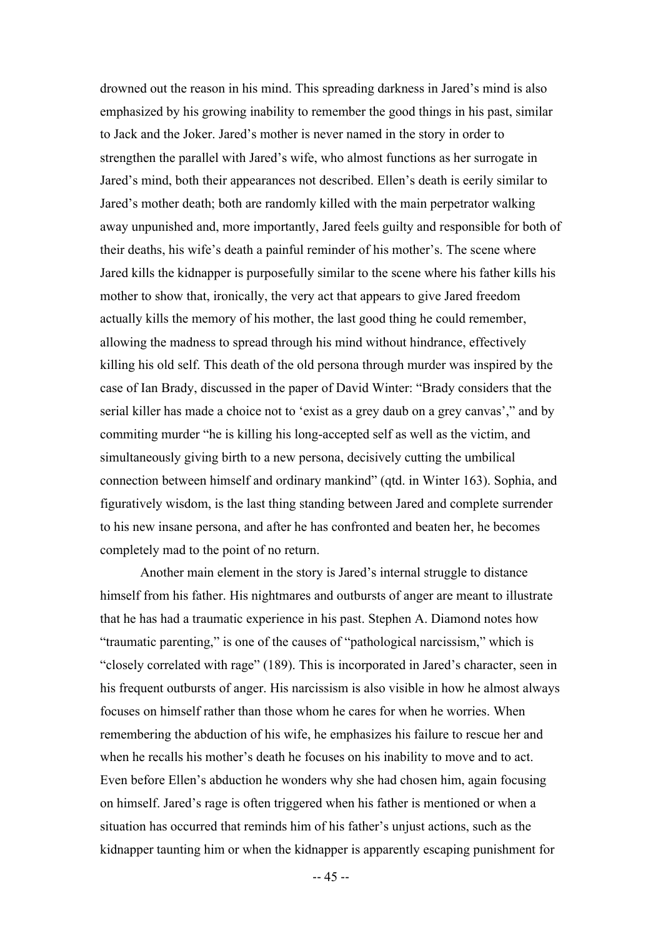drowned out the reason in his mind. This spreading darkness in Jared's mind is also emphasized by his growing inability to remember the good things in his past, similar to Jack and the Joker. Jared's mother is never named in the story in order to strengthen the parallel with Jared's wife, who almost functions as her surrogate in Jared's mind, both their appearances not described. Ellen's death is eerily similar to Jared's mother death; both are randomly killed with the main perpetrator walking away unpunished and, more importantly, Jared feels guilty and responsible for both of their deaths, his wife's death a painful reminder of his mother's. The scene where Jared kills the kidnapper is purposefully similar to the scene where his father kills his mother to show that, ironically, the very act that appears to give Jared freedom actually kills the memory of his mother, the last good thing he could remember, allowing the madness to spread through his mind without hindrance, effectively killing his old self. This death of the old persona through murder was inspired by the case of Ian Brady, discussed in the paper of David Winter: "Brady considers that the serial killer has made a choice not to 'exist as a grey daub on a grey canvas'," and by commiting murder "he is killing his long-accepted self as well as the victim, and simultaneously giving birth to a new persona, decisively cutting the umbilical connection between himself and ordinary mankind" (qtd. in Winter 163). Sophia, and figuratively wisdom, is the last thing standing between Jared and complete surrender to his new insane persona, and after he has confronted and beaten her, he becomes completely mad to the point of no return.

Another main element in the story is Jared's internal struggle to distance himself from his father. His nightmares and outbursts of anger are meant to illustrate that he has had a traumatic experience in his past. Stephen A. Diamond notes how "traumatic parenting," is one of the causes of "pathological narcissism," which is "closely correlated with rage" (189). This is incorporated in Jared's character, seen in his frequent outbursts of anger. His narcissism is also visible in how he almost always focuses on himself rather than those whom he cares for when he worries. When remembering the abduction of his wife, he emphasizes his failure to rescue her and when he recalls his mother's death he focuses on his inability to move and to act. Even before Ellen's abduction he wonders why she had chosen him, again focusing on himself. Jared's rage is often triggered when his father is mentioned or when a situation has occurred that reminds him of his father's unjust actions, such as the kidnapper taunting him or when the kidnapper is apparently escaping punishment for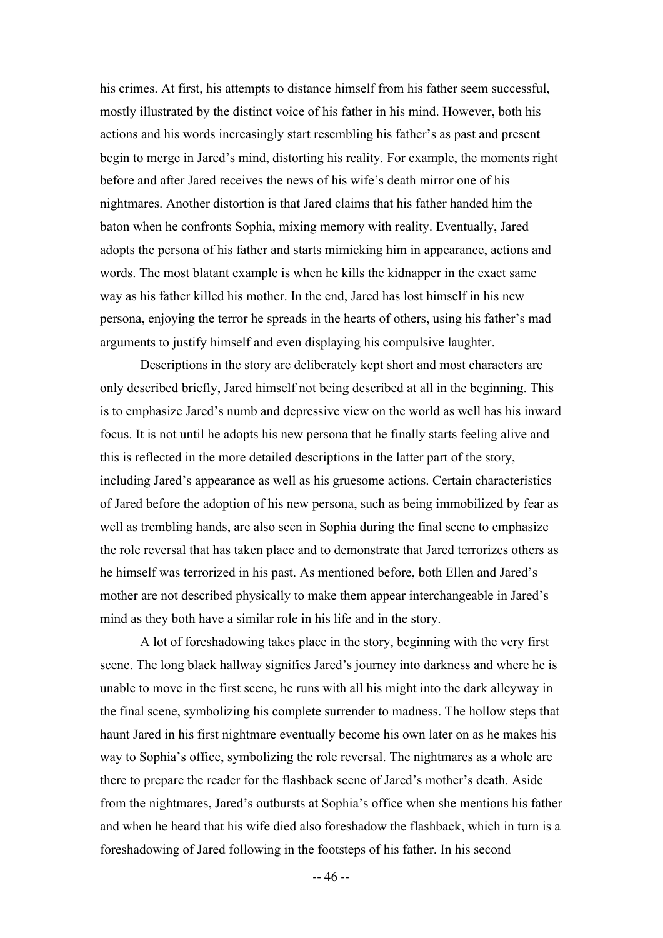his crimes. At first, his attempts to distance himself from his father seem successful, mostly illustrated by the distinct voice of his father in his mind. However, both his actions and his words increasingly start resembling his father's as past and present begin to merge in Jared's mind, distorting his reality. For example, the moments right before and after Jared receives the news of his wife's death mirror one of his nightmares. Another distortion is that Jared claims that his father handed him the baton when he confronts Sophia, mixing memory with reality. Eventually, Jared adopts the persona of his father and starts mimicking him in appearance, actions and words. The most blatant example is when he kills the kidnapper in the exact same way as his father killed his mother. In the end, Jared has lost himself in his new persona, enjoying the terror he spreads in the hearts of others, using his father's mad arguments to justify himself and even displaying his compulsive laughter.

Descriptions in the story are deliberately kept short and most characters are only described briefly, Jared himself not being described at all in the beginning. This is to emphasize Jared's numb and depressive view on the world as well has his inward focus. It is not until he adopts his new persona that he finally starts feeling alive and this is reflected in the more detailed descriptions in the latter part of the story, including Jared's appearance as well as his gruesome actions. Certain characteristics of Jared before the adoption of his new persona, such as being immobilized by fear as well as trembling hands, are also seen in Sophia during the final scene to emphasize the role reversal that has taken place and to demonstrate that Jared terrorizes others as he himself was terrorized in his past. As mentioned before, both Ellen and Jared's mother are not described physically to make them appear interchangeable in Jared's mind as they both have a similar role in his life and in the story.

A lot of foreshadowing takes place in the story, beginning with the very first scene. The long black hallway signifies Jared's journey into darkness and where he is unable to move in the first scene, he runs with all his might into the dark alleyway in the final scene, symbolizing his complete surrender to madness. The hollow steps that haunt Jared in his first nightmare eventually become his own later on as he makes his way to Sophia's office, symbolizing the role reversal. The nightmares as a whole are there to prepare the reader for the flashback scene of Jared's mother's death. Aside from the nightmares, Jared's outbursts at Sophia's office when she mentions his father and when he heard that his wife died also foreshadow the flashback, which in turn is a foreshadowing of Jared following in the footsteps of his father. In his second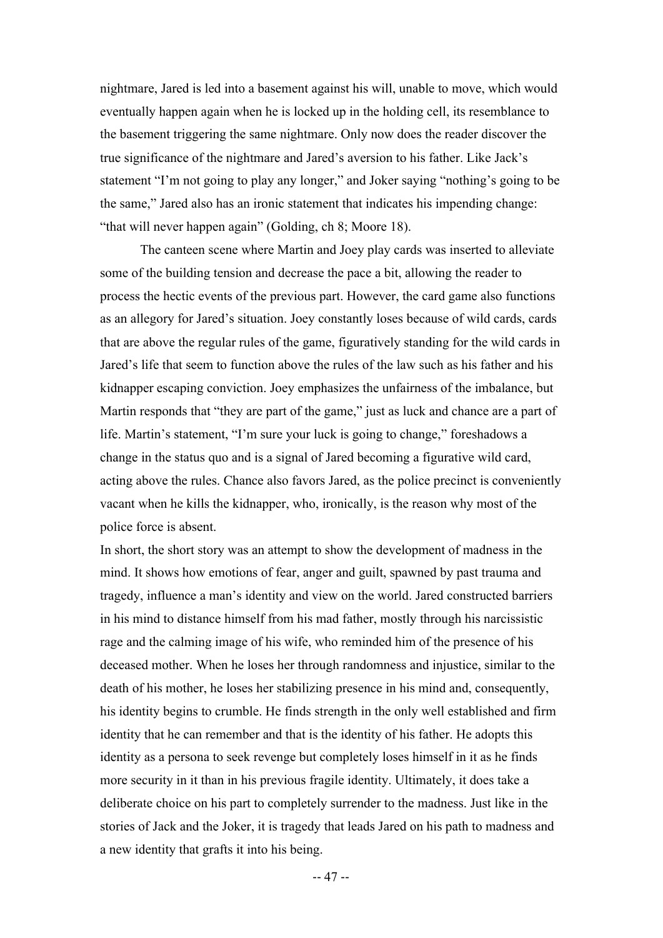nightmare, Jared is led into a basement against his will, unable to move, which would eventually happen again when he is locked up in the holding cell, its resemblance to the basement triggering the same nightmare. Only now does the reader discover the true significance of the nightmare and Jared's aversion to his father. Like Jack's statement "I'm not going to play any longer," and Joker saying "nothing's going to be the same," Jared also has an ironic statement that indicates his impending change: "that will never happen again" (Golding, ch 8; Moore 18).

The canteen scene where Martin and Joey play cards was inserted to alleviate some of the building tension and decrease the pace a bit, allowing the reader to process the hectic events of the previous part. However, the card game also functions as an allegory for Jared's situation. Joey constantly loses because of wild cards, cards that are above the regular rules of the game, figuratively standing for the wild cards in Jared's life that seem to function above the rules of the law such as his father and his kidnapper escaping conviction. Joey emphasizes the unfairness of the imbalance, but Martin responds that "they are part of the game," just as luck and chance are a part of life. Martin's statement, "I'm sure your luck is going to change," foreshadows a change in the status quo and is a signal of Jared becoming a figurative wild card, acting above the rules. Chance also favors Jared, as the police precinct is conveniently vacant when he kills the kidnapper, who, ironically, is the reason why most of the police force is absent.

In short, the short story was an attempt to show the development of madness in the mind. It shows how emotions of fear, anger and guilt, spawned by past trauma and tragedy, influence a man's identity and view on the world. Jared constructed barriers in his mind to distance himself from his mad father, mostly through his narcissistic rage and the calming image of his wife, who reminded him of the presence of his deceased mother. When he loses her through randomness and injustice, similar to the death of his mother, he loses her stabilizing presence in his mind and, consequently, his identity begins to crumble. He finds strength in the only well established and firm identity that he can remember and that is the identity of his father. He adopts this identity as a persona to seek revenge but completely loses himself in it as he finds more security in it than in his previous fragile identity. Ultimately, it does take a deliberate choice on his part to completely surrender to the madness. Just like in the stories of Jack and the Joker, it is tragedy that leads Jared on his path to madness and a new identity that grafts it into his being.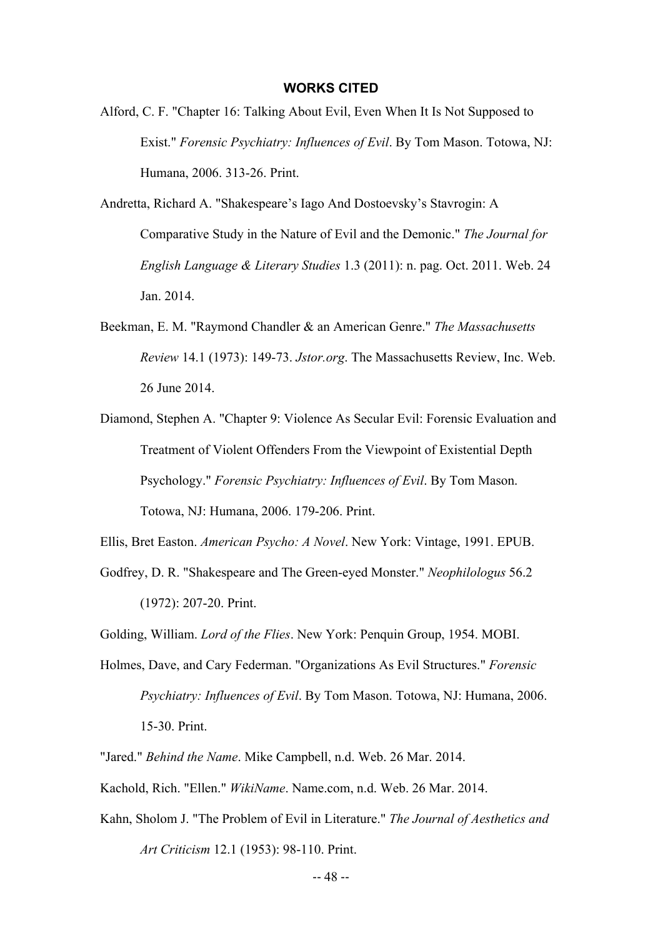#### **WORKS CITED**

- Alford, C. F. "Chapter 16: Talking About Evil, Even When It Is Not Supposed to Exist." *Forensic Psychiatry: Influences of Evil*. By Tom Mason. Totowa, NJ: Humana, 2006. 313-26. Print.
- Andretta, Richard A. "Shakespeare's Iago And Dostoevsky's Stavrogin: A Comparative Study in the Nature of Evil and the Demonic." *The Journal for English Language & Literary Studies* 1.3 (2011): n. pag. Oct. 2011. Web. 24 Jan. 2014.
- Beekman, E. M. "Raymond Chandler & an American Genre." *The Massachusetts Review* 14.1 (1973): 149-73. *Jstor.org*. The Massachusetts Review, Inc. Web. 26 June 2014.
- Diamond, Stephen A. "Chapter 9: Violence As Secular Evil: Forensic Evaluation and Treatment of Violent Offenders From the Viewpoint of Existential Depth Psychology." *Forensic Psychiatry: Influences of Evil*. By Tom Mason. Totowa, NJ: Humana, 2006. 179-206. Print.

Ellis, Bret Easton. *American Psycho: A Novel*. New York: Vintage, 1991. EPUB.

Godfrey, D. R. "Shakespeare and The Green-eyed Monster." *Neophilologus* 56.2 (1972): 207-20. Print.

Golding, William. *Lord of the Flies*. New York: Penquin Group, 1954. MOBI.

- Holmes, Dave, and Cary Federman. "Organizations As Evil Structures." *Forensic Psychiatry: Influences of Evil*. By Tom Mason. Totowa, NJ: Humana, 2006. 15-30. Print.
- "Jared." *Behind the Name*. Mike Campbell, n.d. Web. 26 Mar. 2014.
- Kachold, Rich. "Ellen." *WikiName*. Name.com, n.d. Web. 26 Mar. 2014.
- Kahn, Sholom J. "The Problem of Evil in Literature." *The Journal of Aesthetics and*

*Art Criticism* 12.1 (1953): 98-110. Print.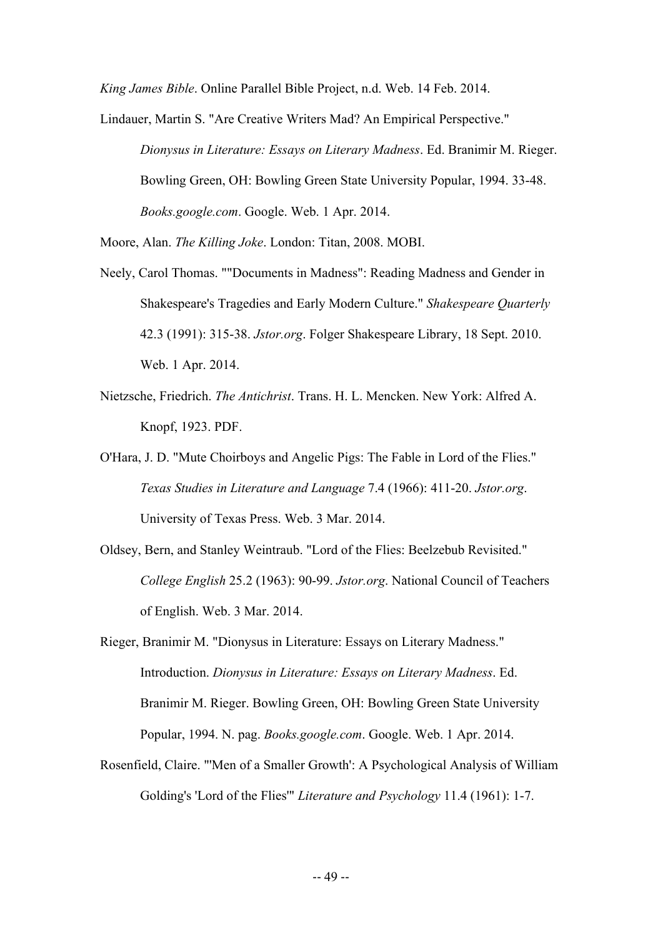*King James Bible*. Online Parallel Bible Project, n.d. Web. 14 Feb. 2014.

Lindauer, Martin S. "Are Creative Writers Mad? An Empirical Perspective." *Dionysus in Literature: Essays on Literary Madness*. Ed. Branimir M. Rieger. Bowling Green, OH: Bowling Green State University Popular, 1994. 33-48. *Books.google.com*. Google. Web. 1 Apr. 2014.

Moore, Alan. *The Killing Joke*. London: Titan, 2008. MOBI.

- Neely, Carol Thomas. ""Documents in Madness": Reading Madness and Gender in Shakespeare's Tragedies and Early Modern Culture." *Shakespeare Quarterly* 42.3 (1991): 315-38. *Jstor.org*. Folger Shakespeare Library, 18 Sept. 2010. Web. 1 Apr. 2014.
- Nietzsche, Friedrich. *The Antichrist*. Trans. H. L. Mencken. New York: Alfred A. Knopf, 1923. PDF.
- O'Hara, J. D. "Mute Choirboys and Angelic Pigs: The Fable in Lord of the Flies." *Texas Studies in Literature and Language* 7.4 (1966): 411-20. *Jstor.org*. University of Texas Press. Web. 3 Mar. 2014.
- Oldsey, Bern, and Stanley Weintraub. "Lord of the Flies: Beelzebub Revisited." *College English* 25.2 (1963): 90-99. *Jstor.org*. National Council of Teachers of English. Web. 3 Mar. 2014.
- Rieger, Branimir M. "Dionysus in Literature: Essays on Literary Madness." Introduction. *Dionysus in Literature: Essays on Literary Madness*. Ed. Branimir M. Rieger. Bowling Green, OH: Bowling Green State University Popular, 1994. N. pag. *Books.google.com*. Google. Web. 1 Apr. 2014.
- Rosenfield, Claire. "'Men of a Smaller Growth': A Psychological Analysis of William Golding's 'Lord of the Flies'" *Literature and Psychology* 11.4 (1961): 1-7.